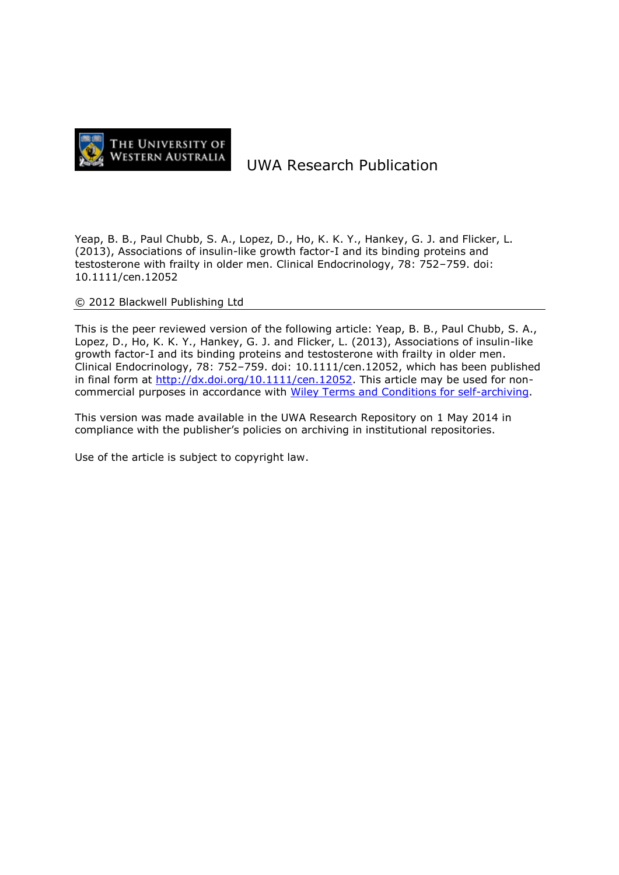

# UWA Research Publication

Yeap, B. B., Paul Chubb, S. A., Lopez, D., Ho, K. K. Y., Hankey, G. J. and Flicker, L. (2013), Associations of insulin-like growth factor-I and its binding proteins and testosterone with frailty in older men. Clinical Endocrinology, 78: 752–759. doi: 10.1111/cen.12052

© 2012 Blackwell Publishing Ltd

This is the peer reviewed version of the following article: Yeap, B. B., Paul Chubb, S. A., Lopez, D., Ho, K. K. Y., Hankey, G. J. and Flicker, L. (2013), Associations of insulin-like growth factor-I and its binding proteins and testosterone with frailty in older men. Clinical Endocrinology, 78: 752–759. doi: 10.1111/cen.12052, which has been published in final form at [http://dx.doi.org/10.1111/cen.12052.](http://dx.doi.org/10.1111/cen.12052) This article may be used for noncommercial purposes in accordance with [Wiley Terms and Conditions for self-archiving.](http://olabout.wiley.com/WileyCDA/Section/id-817011.html)

This version was made available in the UWA Research Repository on 1 May 2014 in compliance with the publisher's policies on archiving in institutional repositories.

Use of the article is subject to copyright law.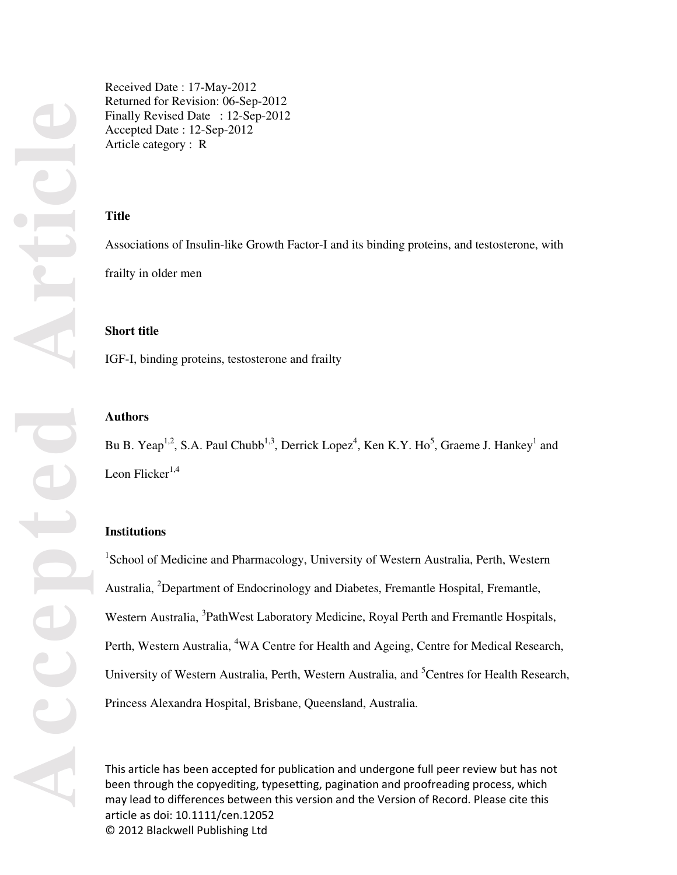**Accepted Article** CC

Received Date : 17-May-2012 Returned for Revision: 06-Sep-2012 Finally Revised Date : 12-Sep-2012 Accepted Date : 12-Sep-2012 Article category : R

# **Title**

Associations of Insulin-like Growth Factor-I and its binding proteins, and testosterone, with frailty in older men

## **Short title**

IGF-I, binding proteins, testosterone and frailty

#### **Authors**

Bu B. Yeap<sup>1,2</sup>, S.A. Paul Chubb<sup>1,3</sup>, Derrick Lopez<sup>4</sup>, Ken K.Y. Ho<sup>5</sup>, Graeme J. Hankey<sup>1</sup> and Leon Flicker $1,4$ 

# **Institutions**

<sup>1</sup>School of Medicine and Pharmacology, University of Western Australia, Perth, Western Australia, <sup>2</sup>Department of Endocrinology and Diabetes, Fremantle Hospital, Fremantle, Western Australia, <sup>3</sup>PathWest Laboratory Medicine, Royal Perth and Fremantle Hospitals, Perth, Western Australia, <sup>4</sup>WA Centre for Health and Ageing, Centre for Medical Research, University of Western Australia, Perth, Western Australia, and <sup>5</sup>Centres for Health Research, Princess Alexandra Hospital, Brisbane, Queensland, Australia.

This article has been accepted for publication and undergone full peer review but has not been through the copyediting, typesetting, pagination and proofreading process, which may lead to differences between this version and the Version of Record. Please cite this article as doi: 10.1111/cen.12052 © 2012 Blackwell Publishing Ltd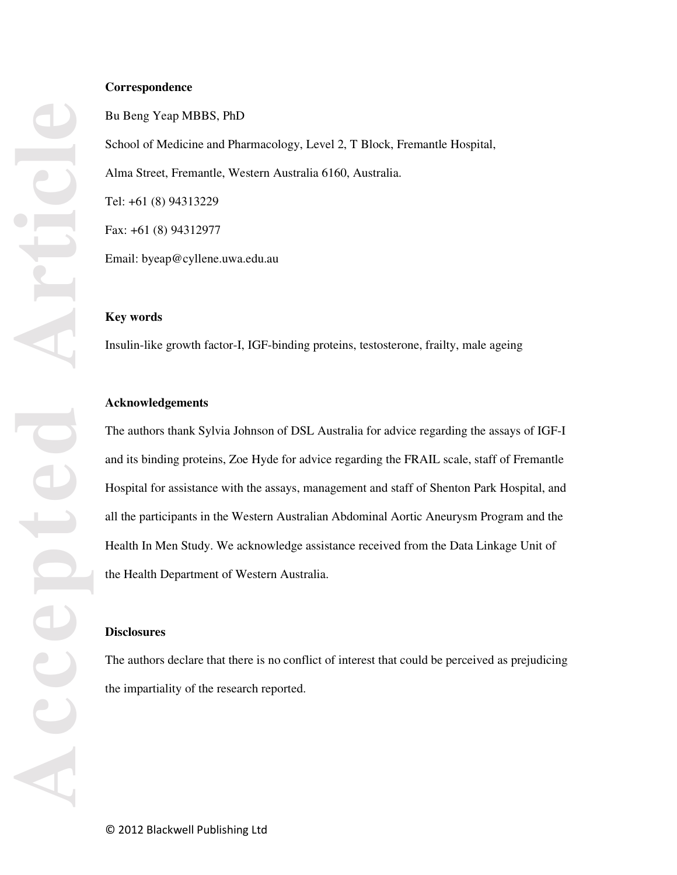#### **Correspondence**

Bu Beng Yeap MBBS, PhD School of Medicine and Pharmacology, Level 2, T Block, Fremantle Hospital, Alma Street, Fremantle, Western Australia 6160, Australia. Tel: +61 (8) 94313229 Fax: +61 (8) 94312977 Email: byeap@cyllene.uwa.edu.au

#### **Key words**

Insulin-like growth factor-I, IGF-binding proteins, testosterone, frailty, male ageing

#### **Acknowledgements**

The authors thank Sylvia Johnson of DSL Australia for advice regarding the assays of IGF-I and its binding proteins, Zoe Hyde for advice regarding the FRAIL scale, staff of Fremantle Hospital for assistance with the assays, management and staff of Shenton Park Hospital, and all the participants in the Western Australian Abdominal Aortic Aneurysm Program and the Health In Men Study. We acknowledge assistance received from the Data Linkage Unit of the Health Department of Western Australia.

# **Disclosures**

The authors declare that there is no conflict of interest that could be perceived as prejudicing the impartiality of the research reported.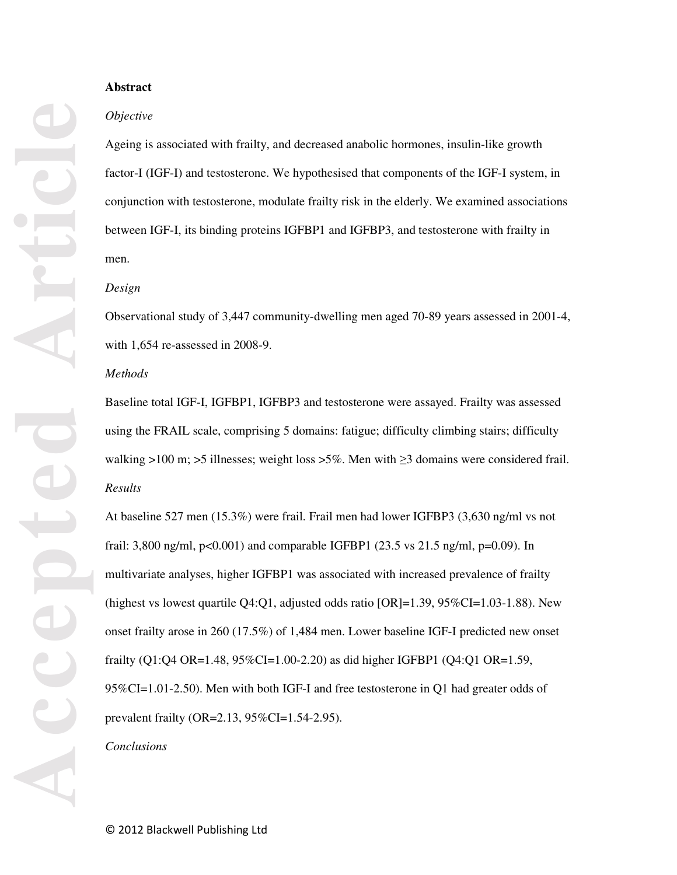#### **Abstract**

#### *Objective*

Ageing is associated with frailty, and decreased anabolic hormones, insulin-like growth factor-I (IGF-I) and testosterone. We hypothesised that components of the IGF-I system, in conjunction with testosterone, modulate frailty risk in the elderly. We examined associations between IGF-I, its binding proteins IGFBP1 and IGFBP3, and testosterone with frailty in men.

#### *Design*

Observational study of 3,447 community-dwelling men aged 70-89 years assessed in 2001-4, with 1,654 re-assessed in 2008-9.

#### *Methods*

Baseline total IGF-I, IGFBP1, IGFBP3 and testosterone were assayed. Frailty was assessed using the FRAIL scale, comprising 5 domains: fatigue; difficulty climbing stairs; difficulty walking >100 m; >5 illnesses; weight loss >5%. Men with  $\geq$ 3 domains were considered frail. *Results* 

At baseline 527 men (15.3%) were frail. Frail men had lower IGFBP3 (3,630 ng/ml vs not frail: 3,800 ng/ml, p<0.001) and comparable IGFBP1 (23.5 vs 21.5 ng/ml, p=0.09). In multivariate analyses, higher IGFBP1 was associated with increased prevalence of frailty (highest vs lowest quartile  $Q4:Q1$ , adjusted odds ratio  $[OR]=1.39$ ,  $95\%CI=1.03-1.88$ ). New onset frailty arose in 260 (17.5%) of 1,484 men. Lower baseline IGF-I predicted new onset frailty (Q1:Q4 OR=1.48, 95%CI=1.00-2.20) as did higher IGFBP1 (Q4:Q1 OR=1.59, 95%CI=1.01-2.50). Men with both IGF-I and free testosterone in Q1 had greater odds of prevalent frailty (OR=2.13, 95%CI=1.54-2.95).

#### *Conclusions*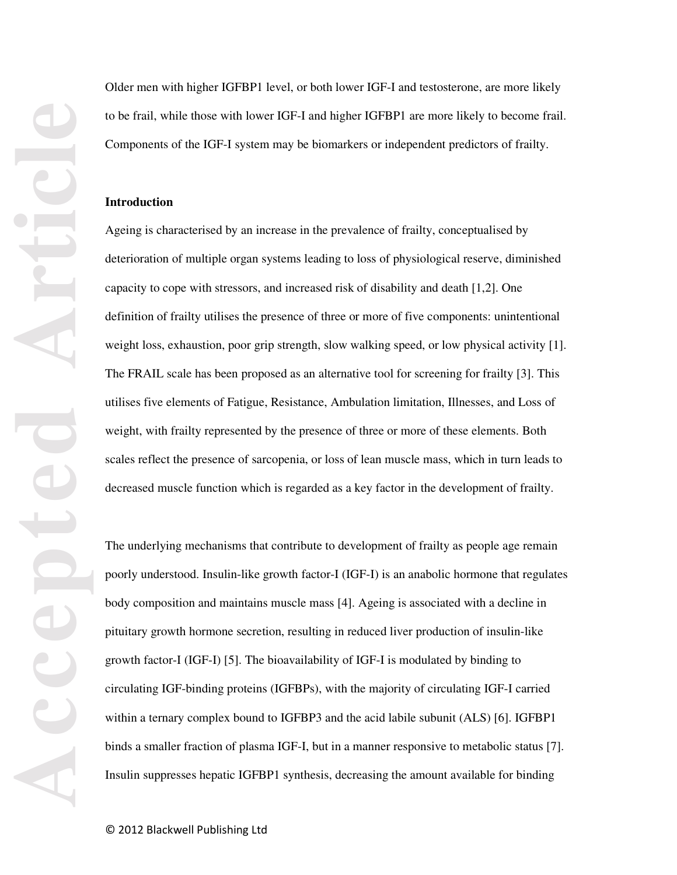Older men with higher IGFBP1 level, or both lower IGF-I and testosterone, are more likely to be frail, while those with lower IGF-I and higher IGFBP1 are more likely to become frail. Components of the IGF-I system may be biomarkers or independent predictors of frailty.

#### **Introduction**

Ageing is characterised by an increase in the prevalence of frailty, conceptualised by deterioration of multiple organ systems leading to loss of physiological reserve, diminished capacity to cope with stressors, and increased risk of disability and death [1,2]. One definition of frailty utilises the presence of three or more of five components: unintentional weight loss, exhaustion, poor grip strength, slow walking speed, or low physical activity [1]. The FRAIL scale has been proposed as an alternative tool for screening for frailty [3]. This utilises five elements of Fatigue, Resistance, Ambulation limitation, Illnesses, and Loss of weight, with frailty represented by the presence of three or more of these elements. Both scales reflect the presence of sarcopenia, or loss of lean muscle mass, which in turn leads to decreased muscle function which is regarded as a key factor in the development of frailty.

The underlying mechanisms that contribute to development of frailty as people age remain poorly understood. Insulin-like growth factor-I (IGF-I) is an anabolic hormone that regulates body composition and maintains muscle mass [4]. Ageing is associated with a decline in pituitary growth hormone secretion, resulting in reduced liver production of insulin-like growth factor-I (IGF-I) [5]. The bioavailability of IGF-I is modulated by binding to circulating IGF-binding proteins (IGFBPs), with the majority of circulating IGF-I carried within a ternary complex bound to IGFBP3 and the acid labile subunit (ALS) [6]. IGFBP1 binds a smaller fraction of plasma IGF-I, but in a manner responsive to metabolic status [7]. Insulin suppresses hepatic IGFBP1 synthesis, decreasing the amount available for binding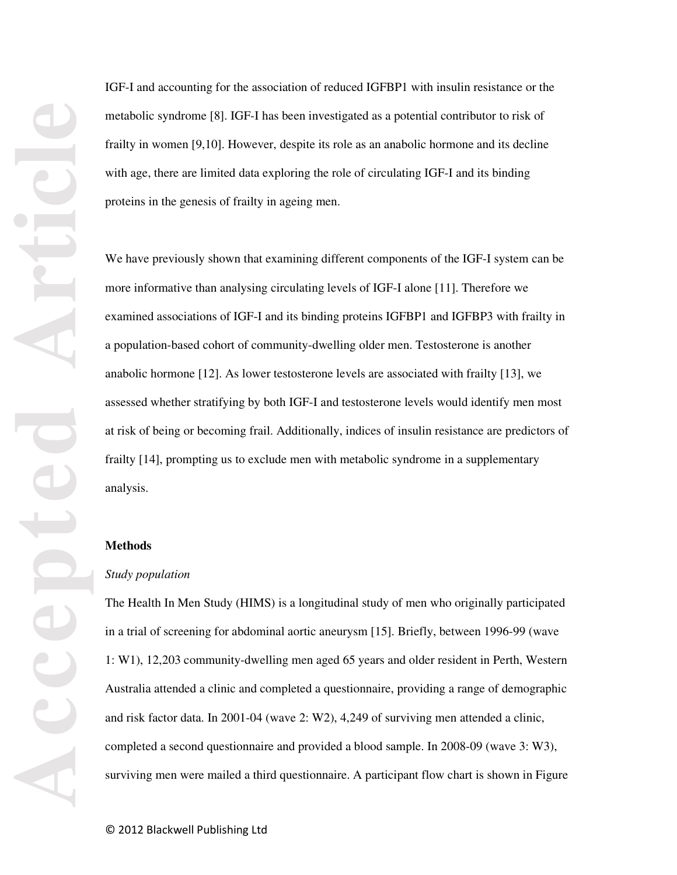IGF-I and accounting for the association of reduced IGFBP1 with insulin resistance or the metabolic syndrome [8]. IGF-I has been investigated as a potential contributor to risk of frailty in women [9,10]. However, despite its role as an anabolic hormone and its decline with age, there are limited data exploring the role of circulating IGF-I and its binding proteins in the genesis of frailty in ageing men.

We have previously shown that examining different components of the IGF-I system can be more informative than analysing circulating levels of IGF-I alone [11]. Therefore we examined associations of IGF-I and its binding proteins IGFBP1 and IGFBP3 with frailty in a population-based cohort of community-dwelling older men. Testosterone is another anabolic hormone [12]. As lower testosterone levels are associated with frailty [13], we assessed whether stratifying by both IGF-I and testosterone levels would identify men most at risk of being or becoming frail. Additionally, indices of insulin resistance are predictors of frailty [14], prompting us to exclude men with metabolic syndrome in a supplementary analysis.

#### **Methods**

#### *Study population*

The Health In Men Study (HIMS) is a longitudinal study of men who originally participated in a trial of screening for abdominal aortic aneurysm [15]. Briefly, between 1996-99 (wave 1: W1), 12,203 community-dwelling men aged 65 years and older resident in Perth, Western Australia attended a clinic and completed a questionnaire, providing a range of demographic and risk factor data. In 2001-04 (wave 2: W2), 4,249 of surviving men attended a clinic, completed a second questionnaire and provided a blood sample. In 2008-09 (wave 3: W3), surviving men were mailed a third questionnaire. A participant flow chart is shown in Figure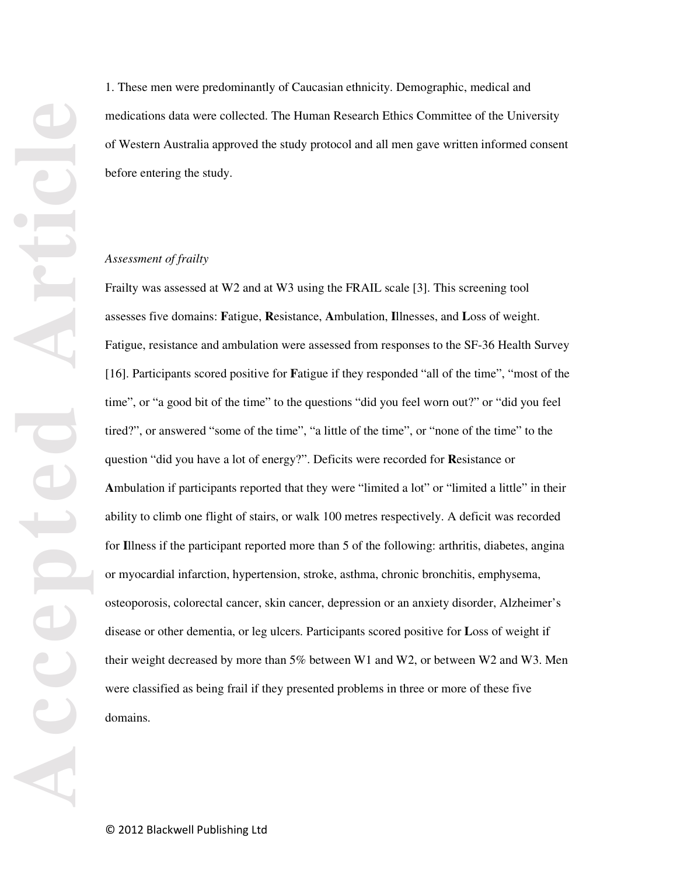1. These men were predominantly of Caucasian ethnicity. Demographic, medical and medications data were collected. The Human Research Ethics Committee of the University of Western Australia approved the study protocol and all men gave written informed consent before entering the study.

#### *Assessment of frailty*

Frailty was assessed at W2 and at W3 using the FRAIL scale [3]. This screening tool assesses five domains: **F**atigue, **R**esistance, **A**mbulation, **I**llnesses, and **L**oss of weight. Fatigue, resistance and ambulation were assessed from responses to the SF-36 Health Survey [16]. Participants scored positive for **F**atigue if they responded "all of the time", "most of the time", or "a good bit of the time" to the questions "did you feel worn out?" or "did you feel tired?", or answered "some of the time", "a little of the time", or "none of the time" to the question "did you have a lot of energy?". Deficits were recorded for **R**esistance or **A**mbulation if participants reported that they were "limited a lot" or "limited a little" in their ability to climb one flight of stairs, or walk 100 metres respectively. A deficit was recorded for **I**llness if the participant reported more than 5 of the following: arthritis, diabetes, angina or myocardial infarction, hypertension, stroke, asthma, chronic bronchitis, emphysema, osteoporosis, colorectal cancer, skin cancer, depression or an anxiety disorder, Alzheimer's disease or other dementia, or leg ulcers. Participants scored positive for **L**oss of weight if their weight decreased by more than 5% between W1 and W2, or between W2 and W3. Men were classified as being frail if they presented problems in three or more of these five domains.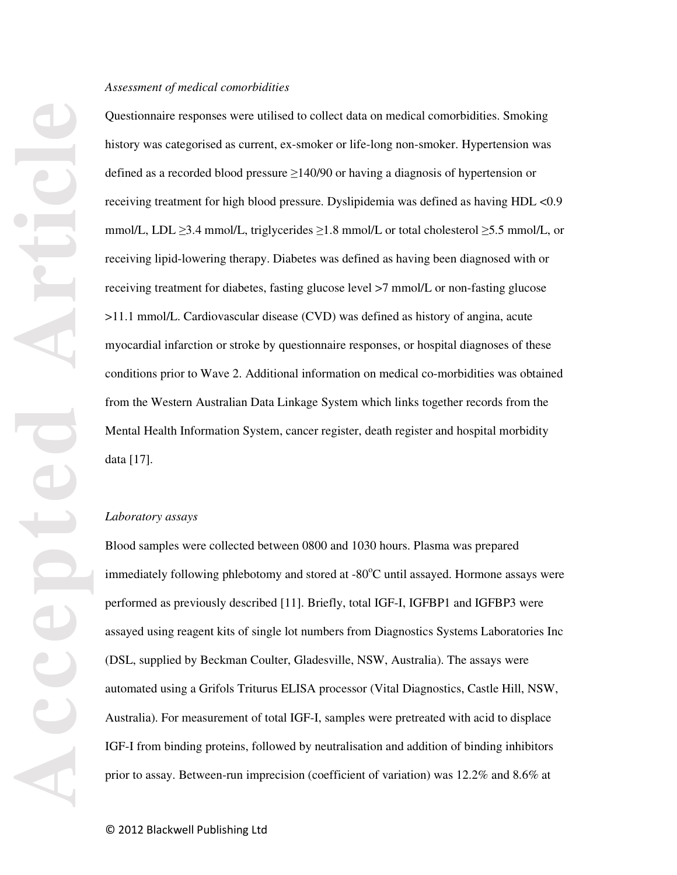#### *Assessment of medical comorbidities*

Questionnaire responses were utilised to collect data on medical comorbidities. Smoking history was categorised as current, ex-smoker or life-long non-smoker. Hypertension was defined as a recorded blood pressure ≥140/90 or having a diagnosis of hypertension or receiving treatment for high blood pressure. Dyslipidemia was defined as having HDL <0.9 mmol/L, LDL  $\geq$ 3.4 mmol/L, triglycerides  $\geq$ 1.8 mmol/L or total cholesterol  $\geq$ 5.5 mmol/L, or receiving lipid-lowering therapy. Diabetes was defined as having been diagnosed with or receiving treatment for diabetes, fasting glucose level >7 mmol/L or non-fasting glucose >11.1 mmol/L. Cardiovascular disease (CVD) was defined as history of angina, acute myocardial infarction or stroke by questionnaire responses, or hospital diagnoses of these conditions prior to Wave 2. Additional information on medical co-morbidities was obtained from the Western Australian Data Linkage System which links together records from the Mental Health Information System, cancer register, death register and hospital morbidity data [17].

#### *Laboratory assays*

Blood samples were collected between 0800 and 1030 hours. Plasma was prepared immediately following phlebotomy and stored at  $-80^{\circ}$ C until assayed. Hormone assays were performed as previously described [11]. Briefly, total IGF-I, IGFBP1 and IGFBP3 were assayed using reagent kits of single lot numbers from Diagnostics Systems Laboratories Inc (DSL, supplied by Beckman Coulter, Gladesville, NSW, Australia). The assays were automated using a Grifols Triturus ELISA processor (Vital Diagnostics, Castle Hill, NSW, Australia). For measurement of total IGF-I, samples were pretreated with acid to displace IGF-I from binding proteins, followed by neutralisation and addition of binding inhibitors prior to assay. Between-run imprecision (coefficient of variation) was 12.2% and 8.6% at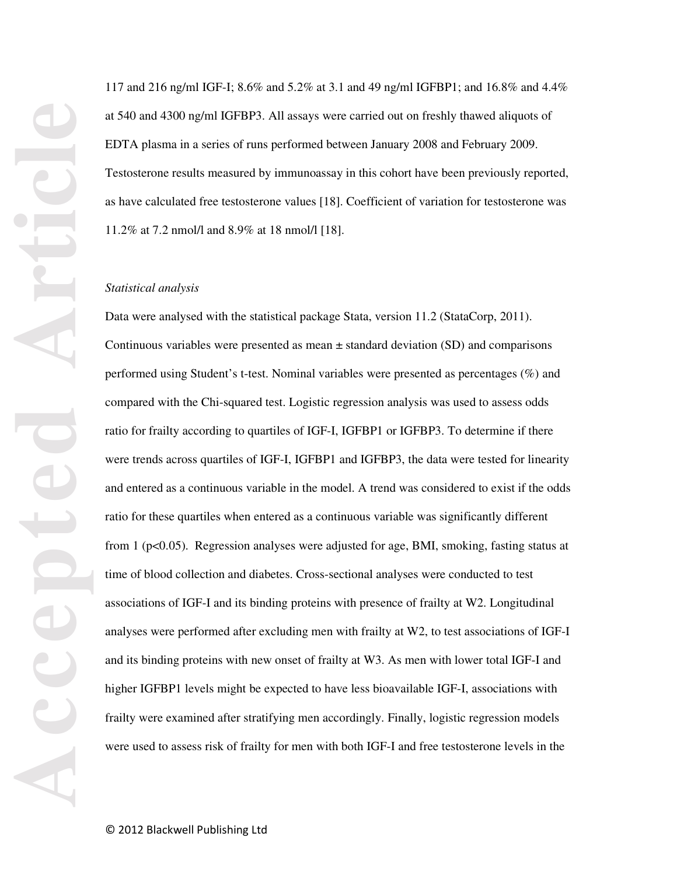117 and 216 ng/ml IGF-I; 8.6% and 5.2% at 3.1 and 49 ng/ml IGFBP1; and 16.8% and 4.4% at 540 and 4300 ng/ml IGFBP3. All assays were carried out on freshly thawed aliquots of EDTA plasma in a series of runs performed between January 2008 and February 2009. Testosterone results measured by immunoassay in this cohort have been previously reported, as have calculated free testosterone values [18]. Coefficient of variation for testosterone was 11.2% at 7.2 nmol/l and 8.9% at 18 nmol/l [18].

#### *Statistical analysis*

Data were analysed with the statistical package Stata, version 11.2 (StataCorp, 2011). Continuous variables were presented as mean  $\pm$  standard deviation (SD) and comparisons performed using Student's t-test. Nominal variables were presented as percentages (%) and compared with the Chi-squared test. Logistic regression analysis was used to assess odds ratio for frailty according to quartiles of IGF-I, IGFBP1 or IGFBP3. To determine if there were trends across quartiles of IGF-I, IGFBP1 and IGFBP3, the data were tested for linearity and entered as a continuous variable in the model. A trend was considered to exist if the odds ratio for these quartiles when entered as a continuous variable was significantly different from 1 (p<0.05). Regression analyses were adjusted for age, BMI, smoking, fasting status at time of blood collection and diabetes. Cross-sectional analyses were conducted to test associations of IGF-I and its binding proteins with presence of frailty at W2. Longitudinal analyses were performed after excluding men with frailty at W2, to test associations of IGF-I and its binding proteins with new onset of frailty at W3. As men with lower total IGF-I and higher IGFBP1 levels might be expected to have less bioavailable IGF-I, associations with frailty were examined after stratifying men accordingly. Finally, logistic regression models were used to assess risk of frailty for men with both IGF-I and free testosterone levels in the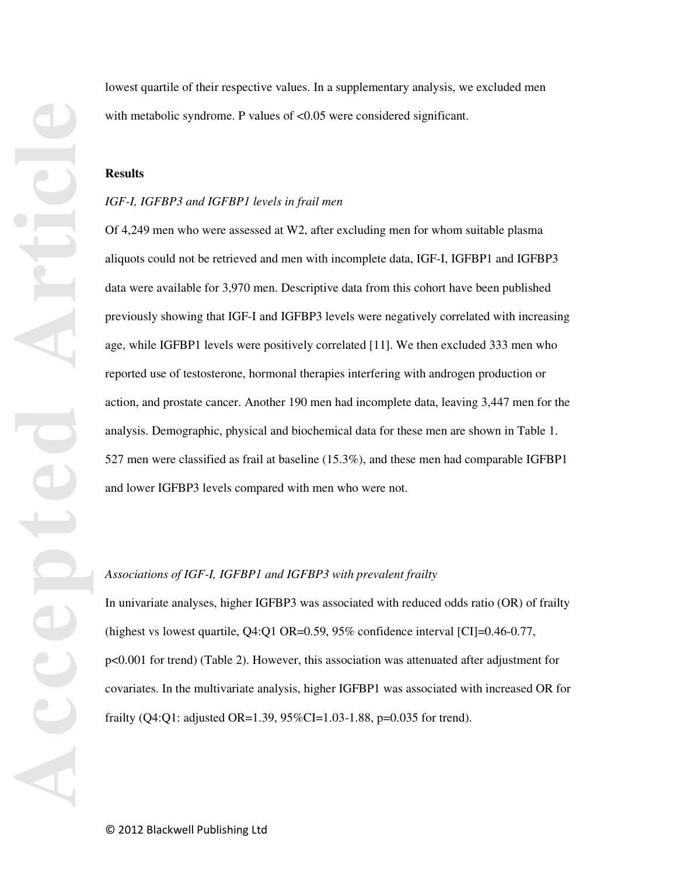lowest quartile of their respective values. In a supplementary analysis, we excluded men with metabolic syndrome. P values of <0.05 were considered significant.

#### **Results**

#### *IGF-I, IGFBP3 and IGFBP1 levels in frail men*

Of 4,249 men who were assessed at W2, after excluding men for whom suitable plasma aliquots could not be retrieved and men with incomplete data, IGF-I, IGFBP1 and IGFBP3 data were available for 3,970 men. Descriptive data from this cohort have been published previously showing that IGF-I and IGFBP3 levels were negatively correlated with increasing age, while IGFBP1 levels were positively correlated [11]. We then excluded 333 men who reported use of testosterone, hormonal therapies interfering with androgen production or action, and prostate cancer. Another 190 men had incomplete data, leaving 3,447 men for the analysis. Demographic, physical and biochemical data for these men are shown in Table 1. 527 men were classified as frail at baseline (15.3%), and these men had comparable IGFBP1 and lower IGFBP3 levels compared with men who were not.

#### *Associations of IGF-I, IGFBP1 and IGFBP3 with prevalent frailty*

In univariate analyses, higher IGFBP3 was associated with reduced odds ratio (OR) of frailty (highest vs lowest quartile, Q4:Q1 OR=0.59, 95% confidence interval [CI]=0.46-0.77, p<0.001 for trend) (Table 2). However, this association was attenuated after adjustment for covariates. In the multivariate analysis, higher IGFBP1 was associated with increased OR for frailty (Q4:Q1: adjusted OR=1.39, 95%CI=1.03-1.88, p=0.035 for trend).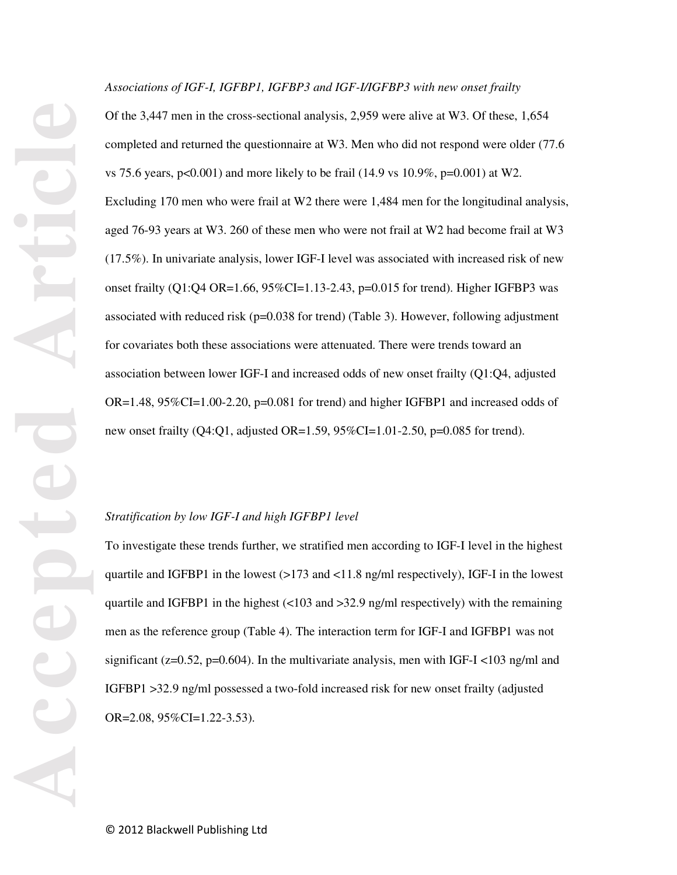*Associations of IGF-I, IGFBP1, IGFBP3 and IGF-I/IGFBP3 with new onset frailty* 

Of the 3,447 men in the cross-sectional analysis, 2,959 were alive at W3. Of these, 1,654 completed and returned the questionnaire at W3. Men who did not respond were older (77.6 vs 75.6 years, p<0.001) and more likely to be frail  $(14.9 \text{ vs } 10.9\% , p=0.001)$  at W2. Excluding 170 men who were frail at W2 there were 1,484 men for the longitudinal analysis, aged 76-93 years at W3. 260 of these men who were not frail at W2 had become frail at W3 (17.5%). In univariate analysis, lower IGF-I level was associated with increased risk of new onset frailty  $(Q1:Q4 \text{ OR} = 1.66, 95\% \text{ CI} = 1.13 - 2.43, p = 0.015 \text{ for trend}$ . Higher IGFBP3 was associated with reduced risk ( $p=0.038$  for trend) (Table 3). However, following adjustment for covariates both these associations were attenuated. There were trends toward an association between lower IGF-I and increased odds of new onset frailty (Q1:Q4, adjusted  $OR=1.48$ ,  $95\%CI=1.00-2.20$ ,  $p=0.081$  for trend) and higher IGFBP1 and increased odds of new onset frailty (Q4:Q1, adjusted OR=1.59, 95%CI=1.01-2.50, p=0.085 for trend).

#### *Stratification by low IGF-I and high IGFBP1 level*

To investigate these trends further, we stratified men according to IGF-I level in the highest quartile and IGFBP1 in the lowest  $(>173 \text{ and } <11.8 \text{ ng/ml respectively})$ , IGF-I in the lowest quartile and IGFBP1 in the highest  $\left($ <103 and >32.9 ng/ml respectively) with the remaining men as the reference group (Table 4). The interaction term for IGF-I and IGFBP1 was not significant ( $z=0.52$ ,  $p=0.604$ ). In the multivariate analysis, men with IGF-I <103 ng/ml and IGFBP1 >32.9 ng/ml possessed a two-fold increased risk for new onset frailty (adjusted OR= $2.08$ ,  $95\%$ CI= $1.22-3.53$ ).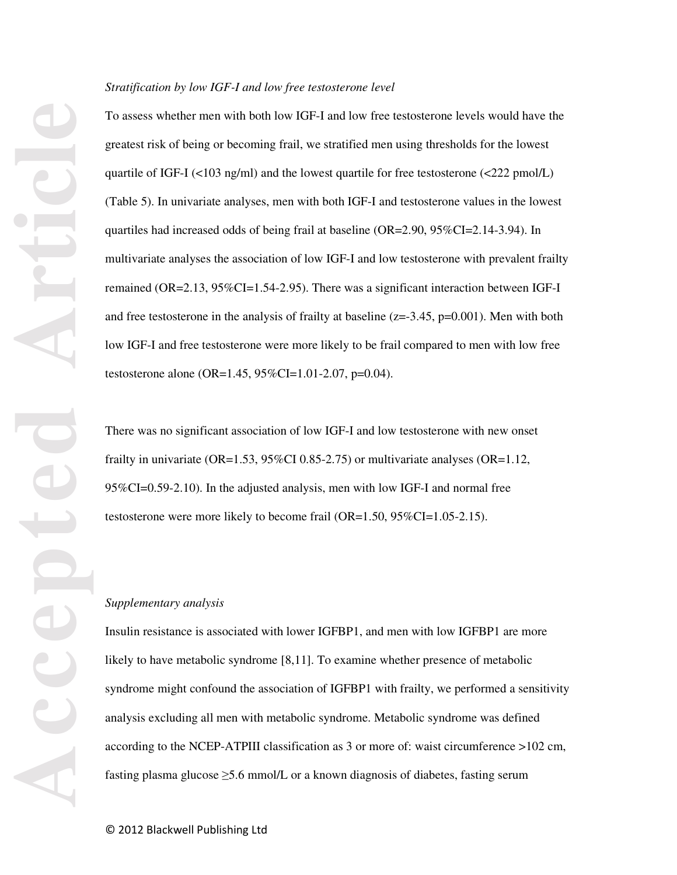#### *Stratification by low IGF-I and low free testosterone level*

To assess whether men with both low IGF-I and low free testosterone levels would have the greatest risk of being or becoming frail, we stratified men using thresholds for the lowest quartile of IGF-I (<103 ng/ml) and the lowest quartile for free testosterone (<222 pmol/L) (Table 5). In univariate analyses, men with both IGF-I and testosterone values in the lowest quartiles had increased odds of being frail at baseline (OR=2.90, 95%CI=2.14-3.94). In multivariate analyses the association of low IGF-I and low testosterone with prevalent frailty remained (OR=2.13, 95%CI=1.54-2.95). There was a significant interaction between IGF-I and free testosterone in the analysis of frailty at baseline  $(z=-3.45, p=0.001)$ . Men with both low IGF-I and free testosterone were more likely to be frail compared to men with low free testosterone alone (OR=1.45, 95%CI=1.01-2.07, p=0.04).

There was no significant association of low IGF-I and low testosterone with new onset frailty in univariate ( $OR=1.53$ ,  $95\%CI\ 0.85-2.75$ ) or multivariate analyses ( $OR=1.12$ , 95%CI=0.59-2.10). In the adjusted analysis, men with low IGF-I and normal free testosterone were more likely to become frail (OR=1.50, 95%CI=1.05-2.15).

#### *Supplementary analysis*

Insulin resistance is associated with lower IGFBP1, and men with low IGFBP1 are more likely to have metabolic syndrome [8,11]. To examine whether presence of metabolic syndrome might confound the association of IGFBP1 with frailty, we performed a sensitivity analysis excluding all men with metabolic syndrome. Metabolic syndrome was defined according to the NCEP-ATPIII classification as 3 or more of: waist circumference >102 cm, fasting plasma glucose  $\geq$ 5.6 mmol/L or a known diagnosis of diabetes, fasting serum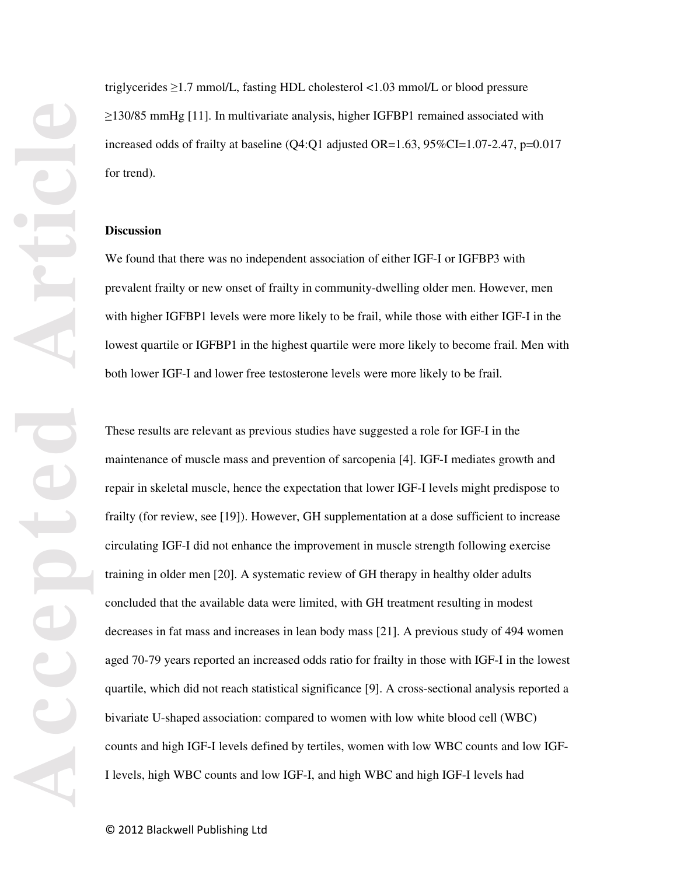triglycerides ≥1.7 mmol/L, fasting HDL cholesterol <1.03 mmol/L or blood pressure ≥130/85 mmHg [11]. In multivariate analysis, higher IGFBP1 remained associated with increased odds of frailty at baseline  $(Q4:Q1$  adjusted  $OR=1.63$ ,  $95\%CI=1.07-2.47$ ,  $p=0.017$ for trend).

#### **Discussion**

We found that there was no independent association of either IGF-I or IGFBP3 with prevalent frailty or new onset of frailty in community-dwelling older men. However, men with higher IGFBP1 levels were more likely to be frail, while those with either IGF-I in the lowest quartile or IGFBP1 in the highest quartile were more likely to become frail. Men with both lower IGF-I and lower free testosterone levels were more likely to be frail.

These results are relevant as previous studies have suggested a role for IGF-I in the maintenance of muscle mass and prevention of sarcopenia [4]. IGF-I mediates growth and repair in skeletal muscle, hence the expectation that lower IGF-I levels might predispose to frailty (for review, see [19]). However, GH supplementation at a dose sufficient to increase circulating IGF-I did not enhance the improvement in muscle strength following exercise training in older men [20]. A systematic review of GH therapy in healthy older adults concluded that the available data were limited, with GH treatment resulting in modest decreases in fat mass and increases in lean body mass [21]. A previous study of 494 women aged 70-79 years reported an increased odds ratio for frailty in those with IGF-I in the lowest quartile, which did not reach statistical significance [9]. A cross-sectional analysis reported a bivariate U-shaped association: compared to women with low white blood cell (WBC) counts and high IGF-I levels defined by tertiles, women with low WBC counts and low IGF-I levels, high WBC counts and low IGF-I, and high WBC and high IGF-I levels had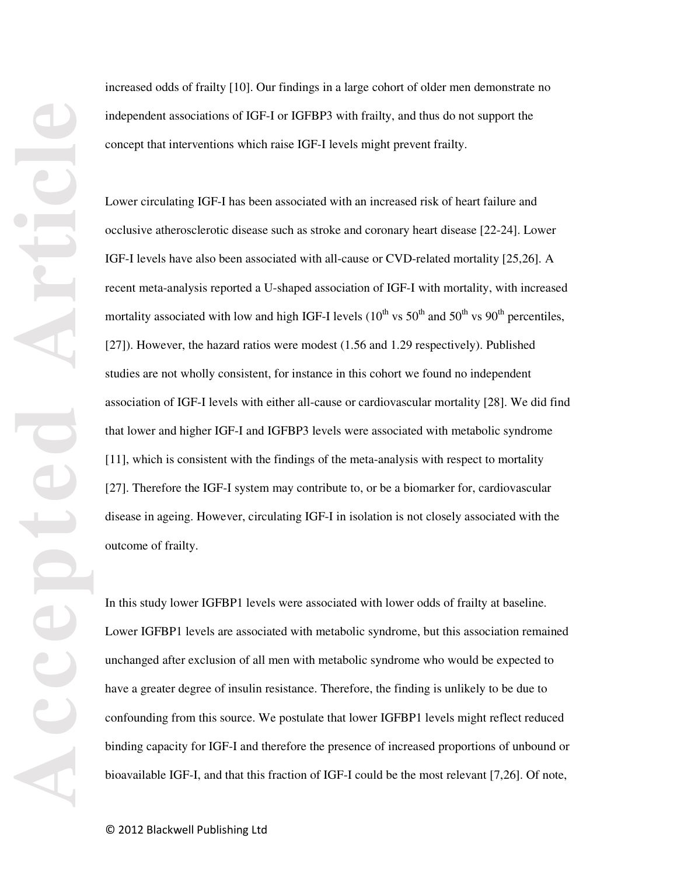increased odds of frailty [10]. Our findings in a large cohort of older men demonstrate no independent associations of IGF-I or IGFBP3 with frailty, and thus do not support the concept that interventions which raise IGF-I levels might prevent frailty.

Lower circulating IGF-I has been associated with an increased risk of heart failure and occlusive atherosclerotic disease such as stroke and coronary heart disease [22-24]. Lower IGF-I levels have also been associated with all-cause or CVD-related mortality [25,26]. A recent meta-analysis reported a U-shaped association of IGF-I with mortality, with increased mortality associated with low and high IGF-I levels  $(10^{th} \text{ vs } 50^{th} \text{ and } 50^{th} \text{ vs } 90^{th} \text{ percentiles})$ [27]). However, the hazard ratios were modest (1.56 and 1.29 respectively). Published studies are not wholly consistent, for instance in this cohort we found no independent association of IGF-I levels with either all-cause or cardiovascular mortality [28]. We did find that lower and higher IGF-I and IGFBP3 levels were associated with metabolic syndrome [11], which is consistent with the findings of the meta-analysis with respect to mortality [27]. Therefore the IGF-I system may contribute to, or be a biomarker for, cardiovascular disease in ageing. However, circulating IGF-I in isolation is not closely associated with the outcome of frailty.

In this study lower IGFBP1 levels were associated with lower odds of frailty at baseline. Lower IGFBP1 levels are associated with metabolic syndrome, but this association remained unchanged after exclusion of all men with metabolic syndrome who would be expected to have a greater degree of insulin resistance. Therefore, the finding is unlikely to be due to confounding from this source. We postulate that lower IGFBP1 levels might reflect reduced binding capacity for IGF-I and therefore the presence of increased proportions of unbound or bioavailable IGF-I, and that this fraction of IGF-I could be the most relevant [7,26]. Of note,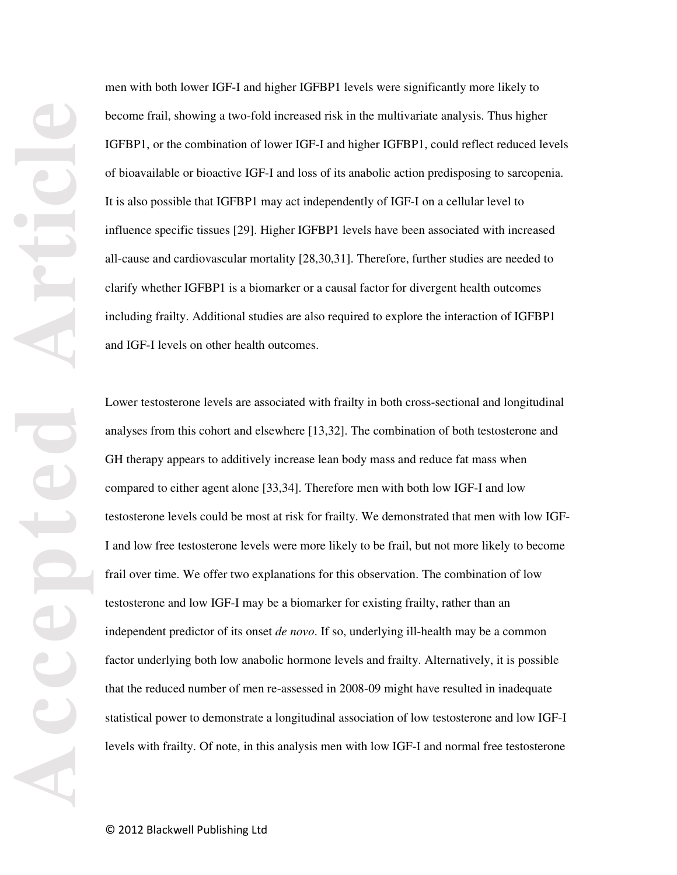men with both lower IGF-I and higher IGFBP1 levels were significantly more likely to become frail, showing a two-fold increased risk in the multivariate analysis. Thus higher IGFBP1, or the combination of lower IGF-I and higher IGFBP1, could reflect reduced levels of bioavailable or bioactive IGF-I and loss of its anabolic action predisposing to sarcopenia. It is also possible that IGFBP1 may act independently of IGF-I on a cellular level to influence specific tissues [29]. Higher IGFBP1 levels have been associated with increased all-cause and cardiovascular mortality [28,30,31]. Therefore, further studies are needed to clarify whether IGFBP1 is a biomarker or a causal factor for divergent health outcomes including frailty. Additional studies are also required to explore the interaction of IGFBP1 and IGF-I levels on other health outcomes.

Lower testosterone levels are associated with frailty in both cross-sectional and longitudinal analyses from this cohort and elsewhere [13,32]. The combination of both testosterone and GH therapy appears to additively increase lean body mass and reduce fat mass when compared to either agent alone [33,34]. Therefore men with both low IGF-I and low testosterone levels could be most at risk for frailty. We demonstrated that men with low IGF-I and low free testosterone levels were more likely to be frail, but not more likely to become frail over time. We offer two explanations for this observation. The combination of low testosterone and low IGF-I may be a biomarker for existing frailty, rather than an independent predictor of its onset *de novo*. If so, underlying ill-health may be a common factor underlying both low anabolic hormone levels and frailty. Alternatively, it is possible that the reduced number of men re-assessed in 2008-09 might have resulted in inadequate statistical power to demonstrate a longitudinal association of low testosterone and low IGF-I levels with frailty. Of note, in this analysis men with low IGF-I and normal free testosterone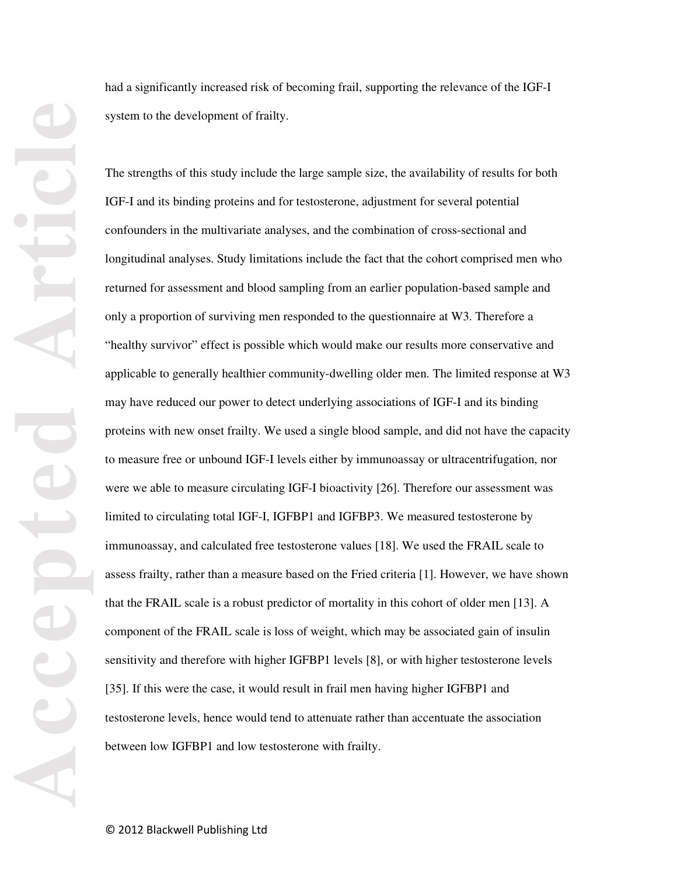had a significantly increased risk of becoming frail, supporting the relevance of the IGF-I system to the development of frailty.

The strengths of this study include the large sample size, the availability of results for both IGF-I and its binding proteins and for testosterone, adjustment for several potential confounders in the multivariate analyses, and the combination of cross-sectional and longitudinal analyses. Study limitations include the fact that the cohort comprised men who returned for assessment and blood sampling from an earlier population-based sample and only a proportion of surviving men responded to the questionnaire at W3. Therefore a "healthy survivor" effect is possible which would make our results more conservative and applicable to generally healthier community-dwelling older men. The limited response at W3 may have reduced our power to detect underlying associations of IGF-I and its binding proteins with new onset frailty. We used a single blood sample, and did not have the capacity to measure free or unbound IGF-I levels either by immunoassay or ultracentrifugation, nor were we able to measure circulating IGF-I bioactivity [26]. Therefore our assessment was limited to circulating total IGF-I, IGFBP1 and IGFBP3. We measured testosterone by immunoassay, and calculated free testosterone values [18]. We used the FRAIL scale to assess frailty, rather than a measure based on the Fried criteria [1]. However, we have shown that the FRAIL scale is a robust predictor of mortality in this cohort of older men [13]. A component of the FRAIL scale is loss of weight, which may be associated gain of insulin sensitivity and therefore with higher IGFBP1 levels [8], or with higher testosterone levels [35]. If this were the case, it would result in frail men having higher IGFBP1 and testosterone levels, hence would tend to attenuate rather than accentuate the association between low IGFBP1 and low testosterone with frailty.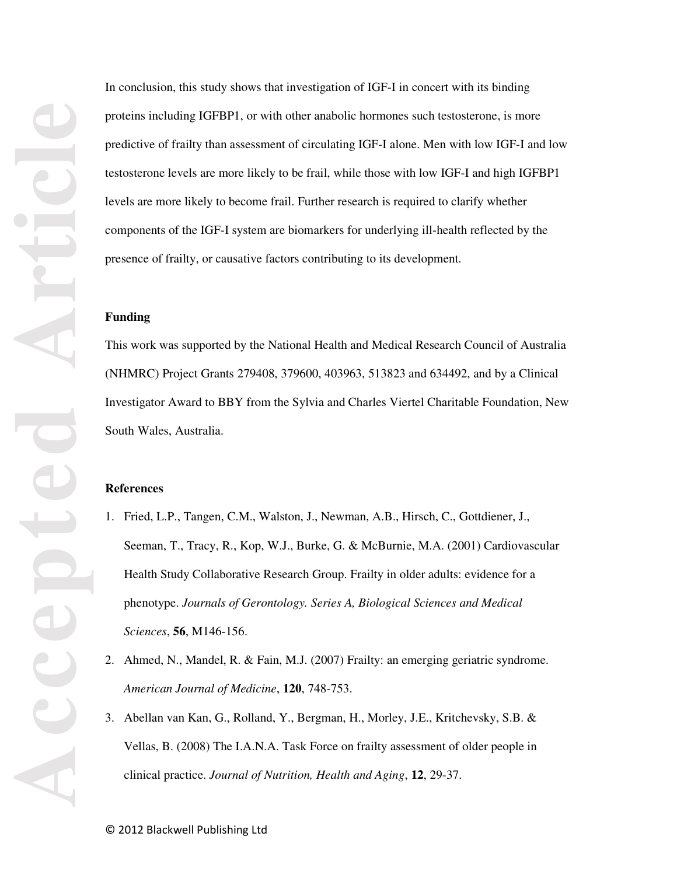In conclusion, this study shows that investigation of IGF-I in concert with its binding proteins including IGFBP1, or with other anabolic hormones such testosterone, is more predictive of frailty than assessment of circulating IGF-I alone. Men with low IGF-I and low testosterone levels are more likely to be frail, while those with low IGF-I and high IGFBP1 levels are more likely to become frail. Further research is required to clarify whether components of the IGF-I system are biomarkers for underlying ill-health reflected by the presence of frailty, or causative factors contributing to its development.

#### **Funding**

This work was supported by the National Health and Medical Research Council of Australia (NHMRC) Project Grants 279408, 379600, 403963, 513823 and 634492, and by a Clinical Investigator Award to BBY from the Sylvia and Charles Viertel Charitable Foundation, New South Wales, Australia.

#### **References**

- 1. Fried, L.P., Tangen, C.M., Walston, J., Newman, A.B., Hirsch, C., Gottdiener, J., Seeman, T., Tracy, R., Kop, W.J., Burke, G. & McBurnie, M.A. (2001) Cardiovascular Health Study Collaborative Research Group. Frailty in older adults: evidence for a phenotype. *Journals of Gerontology. Series A, Biological Sciences and Medical Sciences*, **56**, M146-156.
- 2. Ahmed, N., Mandel, R. & Fain, M.J. (2007) Frailty: an emerging geriatric syndrome. *American Journal of Medicine*, **120**, 748-753.
- 3. Abellan van Kan, G., Rolland, Y., Bergman, H., Morley, J.E., Kritchevsky, S.B. & Vellas, B. (2008) The I.A.N.A. Task Force on frailty assessment of older people in clinical practice. *Journal of Nutrition, Health and Aging*, **12**, 29-37.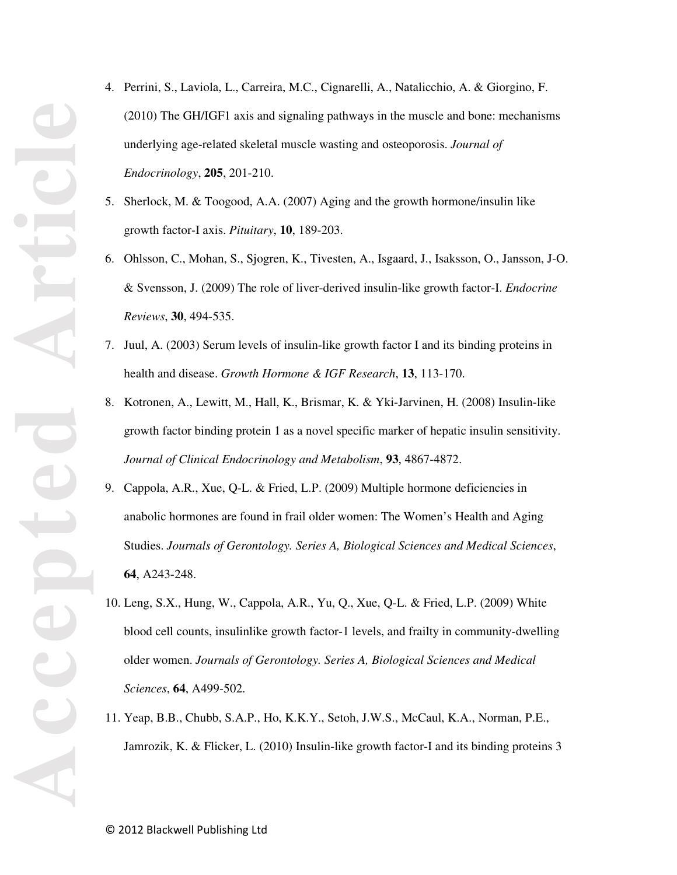- 4. Perrini, S., Laviola, L., Carreira, M.C., Cignarelli, A., Natalicchio, A. & Giorgino, F. (2010) The GH/IGF1 axis and signaling pathways in the muscle and bone: mechanisms underlying age-related skeletal muscle wasting and osteoporosis. *Journal of Endocrinology*, **205**, 201-210.
- 5. Sherlock, M. & Toogood, A.A. (2007) Aging and the growth hormone/insulin like growth factor-I axis. *Pituitary*, **10**, 189-203.
- 6. Ohlsson, C., Mohan, S., Sjogren, K., Tivesten, A., Isgaard, J., Isaksson, O., Jansson, J-O. & Svensson, J. (2009) The role of liver-derived insulin-like growth factor-I. *Endocrine Reviews*, **30**, 494-535.
- 7. Juul, A. (2003) Serum levels of insulin-like growth factor I and its binding proteins in health and disease. *Growth Hormone & IGF Research*, **13**, 113-170.
- 8. Kotronen, A., Lewitt, M., Hall, K., Brismar, K. & Yki-Jarvinen, H. (2008) Insulin-like growth factor binding protein 1 as a novel specific marker of hepatic insulin sensitivity. *Journal of Clinical Endocrinology and Metabolism*, **93**, 4867-4872.
- 9. Cappola, A.R., Xue, Q-L. & Fried, L.P. (2009) Multiple hormone deficiencies in anabolic hormones are found in frail older women: The Women's Health and Aging Studies. *Journals of Gerontology. Series A, Biological Sciences and Medical Sciences*, **64**, A243-248.
- 10. Leng, S.X., Hung, W., Cappola, A.R., Yu, Q., Xue, Q-L. & Fried, L.P. (2009) White blood cell counts, insulinlike growth factor-1 levels, and frailty in community-dwelling older women. *Journals of Gerontology. Series A, Biological Sciences and Medical Sciences*, **64**, A499-502.
- 11. Yeap, B.B., Chubb, S.A.P., Ho, K.K.Y., Setoh, J.W.S., McCaul, K.A., Norman, P.E., Jamrozik, K. & Flicker, L. (2010) Insulin-like growth factor-I and its binding proteins 3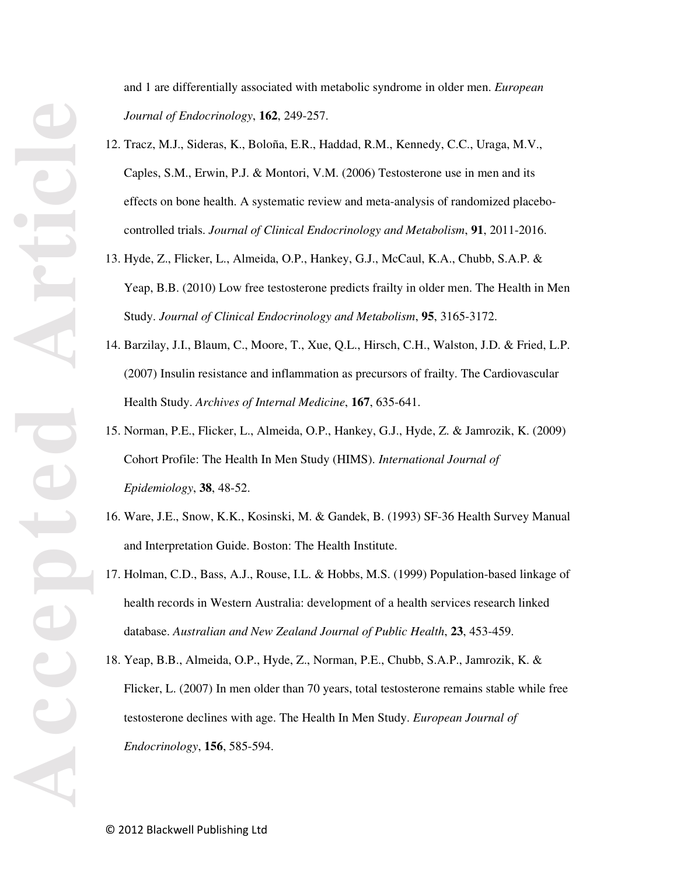and 1 are differentially associated with metabolic syndrome in older men. *European Journal of Endocrinology*, **162**, 249-257.

- 12. Tracz, M.J., Sideras, K., Boloña, E.R., Haddad, R.M., Kennedy, C.C., Uraga, M.V., Caples, S.M., Erwin, P.J. & Montori, V.M. (2006) Testosterone use in men and its effects on bone health. A systematic review and meta-analysis of randomized placebocontrolled trials. *Journal of Clinical Endocrinology and Metabolism*, **91**, 2011-2016.
- 13. Hyde, Z., Flicker, L., Almeida, O.P., Hankey, G.J., McCaul, K.A., Chubb, S.A.P. & Yeap, B.B. (2010) Low free testosterone predicts frailty in older men. The Health in Men Study. *Journal of Clinical Endocrinology and Metabolism*, **95**, 3165-3172.
- 14. Barzilay, J.I., Blaum, C., Moore, T., Xue, Q.L., Hirsch, C.H., Walston, J.D. & Fried, L.P. (2007) Insulin resistance and inflammation as precursors of frailty. The Cardiovascular Health Study. *Archives of Internal Medicine*, **167**, 635-641.
- 15. Norman, P.E., Flicker, L., Almeida, O.P., Hankey, G.J., Hyde, Z. & Jamrozik, K. (2009) Cohort Profile: The Health In Men Study (HIMS). *International Journal of Epidemiology*, **38**, 48-52.
- 16. Ware, J.E., Snow, K.K., Kosinski, M. & Gandek, B. (1993) SF-36 Health Survey Manual and Interpretation Guide. Boston: The Health Institute.
- 17. Holman, C.D., Bass, A.J., Rouse, I.L. & Hobbs, M.S. (1999) Population-based linkage of health records in Western Australia: development of a health services research linked database. *Australian and New Zealand Journal of Public Health*, **23**, 453-459.
- 18. Yeap, B.B., Almeida, O.P., Hyde, Z., Norman, P.E., Chubb, S.A.P., Jamrozik, K. & Flicker, L. (2007) In men older than 70 years, total testosterone remains stable while free testosterone declines with age. The Health In Men Study. *European Journal of Endocrinology*, **156**, 585-594.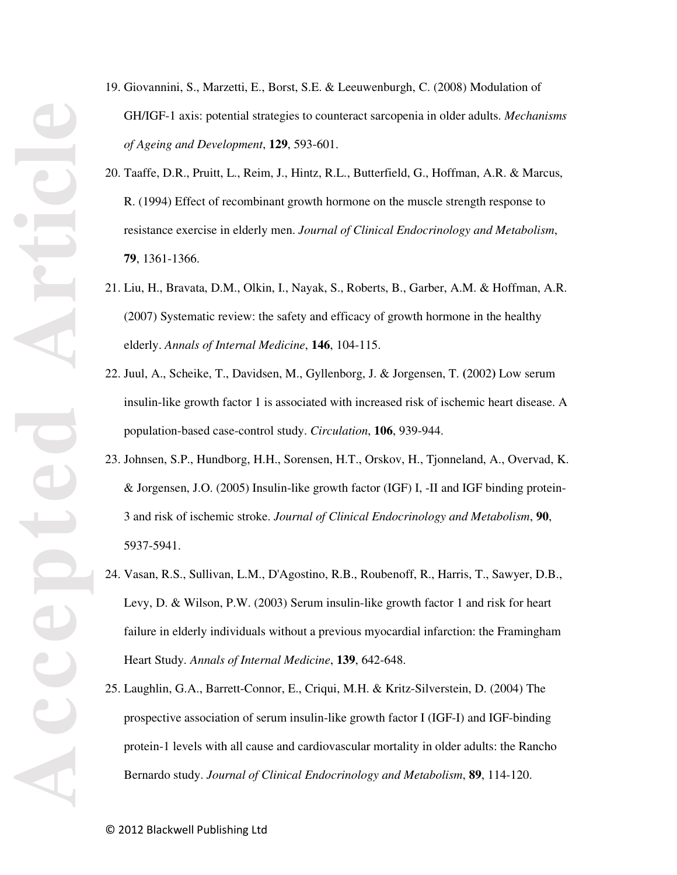- 19. Giovannini, S., Marzetti, E., Borst, S.E. & Leeuwenburgh, C. (2008) Modulation of GH/IGF-1 axis: potential strategies to counteract sarcopenia in older adults. *Mechanisms of Ageing and Development*, **129**, 593-601.
- 20. Taaffe, D.R., Pruitt, L., Reim, J., Hintz, R.L., Butterfield, G., Hoffman, A.R. & Marcus, R. (1994) Effect of recombinant growth hormone on the muscle strength response to resistance exercise in elderly men. *Journal of Clinical Endocrinology and Metabolism*, **79**, 1361-1366.
- 21. Liu, H., Bravata, D.M., Olkin, I., Nayak, S., Roberts, B., Garber, A.M. & Hoffman, A.R. (2007) Systematic review: the safety and efficacy of growth hormone in the healthy elderly. *Annals of Internal Medicine*, **146**, 104-115.
- 22. Juul, A., Scheike, T., Davidsen, M., Gyllenborg, J. & Jorgensen, T. **(**2002**)** Low serum insulin-like growth factor 1 is associated with increased risk of ischemic heart disease. A population-based case-control study. *Circulation*, **106**, 939-944.
- 23. Johnsen, S.P., Hundborg, H.H., Sorensen, H.T., Orskov, H., Tjonneland, A., Overvad, K. & Jorgensen, J.O. (2005) Insulin-like growth factor (IGF) I, -II and IGF binding protein-3 and risk of ischemic stroke. *Journal of Clinical Endocrinology and Metabolism*, **90**, 5937-5941.
- 24. Vasan, R.S., Sullivan, L.M., D'Agostino, R.B., Roubenoff, R., Harris, T., Sawyer, D.B., Levy, D. & Wilson, P.W. (2003) Serum insulin-like growth factor 1 and risk for heart failure in elderly individuals without a previous myocardial infarction: the Framingham Heart Study. *Annals of Internal Medicine*, **139**, 642-648.
- 25. Laughlin, G.A., Barrett-Connor, E., Criqui, M.H. & Kritz-Silverstein, D. (2004) The prospective association of serum insulin-like growth factor I (IGF-I) and IGF-binding protein-1 levels with all cause and cardiovascular mortality in older adults: the Rancho Bernardo study. *Journal of Clinical Endocrinology and Metabolism*, **89**, 114-120.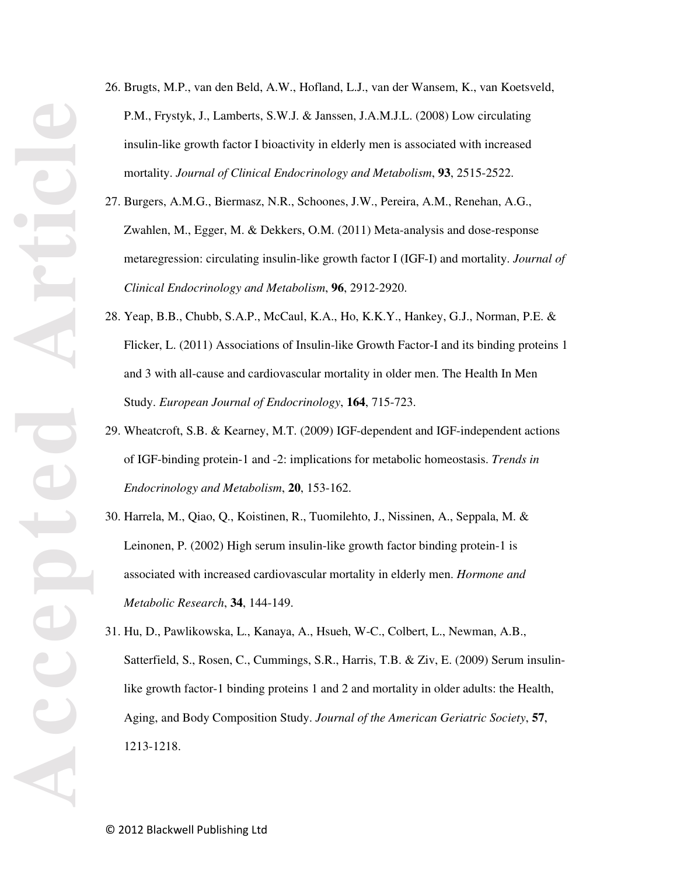- 26. Brugts, M.P., van den Beld, A.W., Hofland, L.J., van der Wansem, K., van Koetsveld, P.M., Frystyk, J., Lamberts, S.W.J. & Janssen, J.A.M.J.L. (2008) Low circulating insulin-like growth factor I bioactivity in elderly men is associated with increased mortality. *Journal of Clinical Endocrinology and Metabolism*, **93**, 2515-2522.
- 27. Burgers, A.M.G., Biermasz, N.R., Schoones, J.W., Pereira, A.M., Renehan, A.G., Zwahlen, M., Egger, M. & Dekkers, O.M. (2011) Meta-analysis and dose-response metaregression: circulating insulin-like growth factor I (IGF-I) and mortality. *Journal of Clinical Endocrinology and Metabolism*, **96**, 2912-2920.
- 28. Yeap, B.B., Chubb, S.A.P., McCaul, K.A., Ho, K.K.Y., Hankey, G.J., Norman, P.E. & Flicker, L. (2011) Associations of Insulin-like Growth Factor-I and its binding proteins 1 and 3 with all-cause and cardiovascular mortality in older men. The Health In Men Study. *European Journal of Endocrinology*, **164**, 715-723.
- 29. Wheatcroft, S.B. & Kearney, M.T. (2009) IGF-dependent and IGF-independent actions of IGF-binding protein-1 and -2: implications for metabolic homeostasis. *Trends in Endocrinology and Metabolism*, **20**, 153-162.
- 30. Harrela, M., Qiao, Q., Koistinen, R., Tuomilehto, J., Nissinen, A., Seppala, M. & Leinonen, P. (2002) High serum insulin-like growth factor binding protein-1 is associated with increased cardiovascular mortality in elderly men. *Hormone and Metabolic Research*, **34**, 144-149.
- 31. Hu, D., Pawlikowska, L., Kanaya, A., Hsueh, W-C., Colbert, L., Newman, A.B., Satterfield, S., Rosen, C., Cummings, S.R., Harris, T.B. & Ziv, E. (2009) Serum insulinlike growth factor-1 binding proteins 1 and 2 and mortality in older adults: the Health, Aging, and Body Composition Study. *Journal of the American Geriatric Society*, **57**, 1213-1218.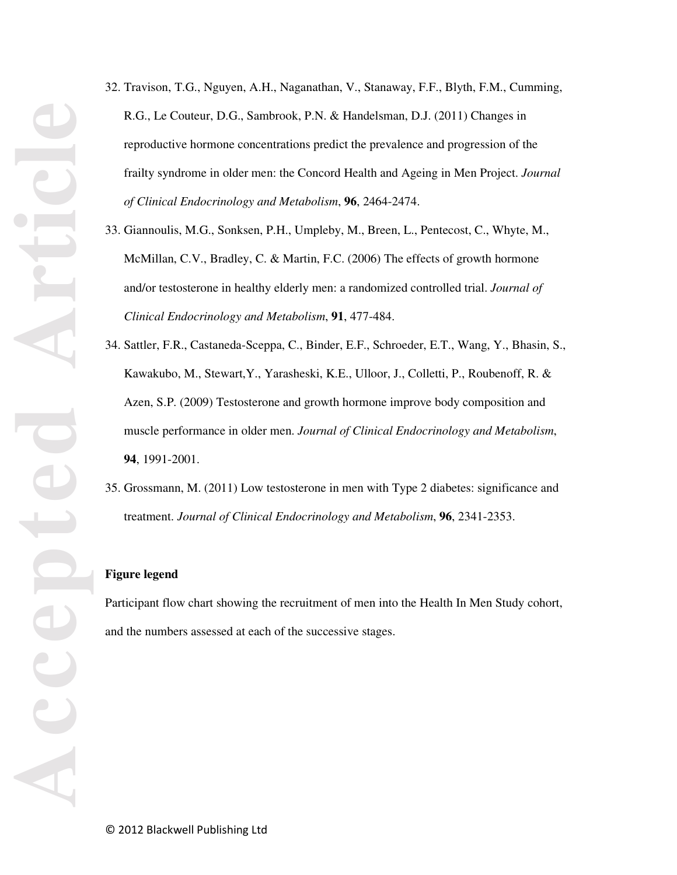- 32. Travison, T.G., Nguyen, A.H., Naganathan, V., Stanaway, F.F., Blyth, F.M., Cumming, R.G., Le Couteur, D.G., Sambrook, P.N. & Handelsman, D.J. (2011) Changes in reproductive hormone concentrations predict the prevalence and progression of the frailty syndrome in older men: the Concord Health and Ageing in Men Project. *Journal of Clinical Endocrinology and Metabolism*, **96**, 2464-2474.
- 33. Giannoulis, M.G., Sonksen, P.H., Umpleby, M., Breen, L., Pentecost, C., Whyte, M., McMillan, C.V., Bradley, C. & Martin, F.C. (2006) The effects of growth hormone and/or testosterone in healthy elderly men: a randomized controlled trial. *Journal of Clinical Endocrinology and Metabolism*, **91**, 477-484.
- 34. Sattler, F.R., Castaneda-Sceppa, C., Binder, E.F., Schroeder, E.T., Wang, Y., Bhasin, S., Kawakubo, M., Stewart,Y., Yarasheski, K.E., Ulloor, J., Colletti, P., Roubenoff, R. & Azen, S.P. (2009) Testosterone and growth hormone improve body composition and muscle performance in older men. *Journal of Clinical Endocrinology and Metabolism*, **94**, 1991-2001.
- 35. Grossmann, M. (2011) Low testosterone in men with Type 2 diabetes: significance and treatment. *Journal of Clinical Endocrinology and Metabolism*, **96**, 2341-2353.

#### **Figure legend**

Participant flow chart showing the recruitment of men into the Health In Men Study cohort, and the numbers assessed at each of the successive stages.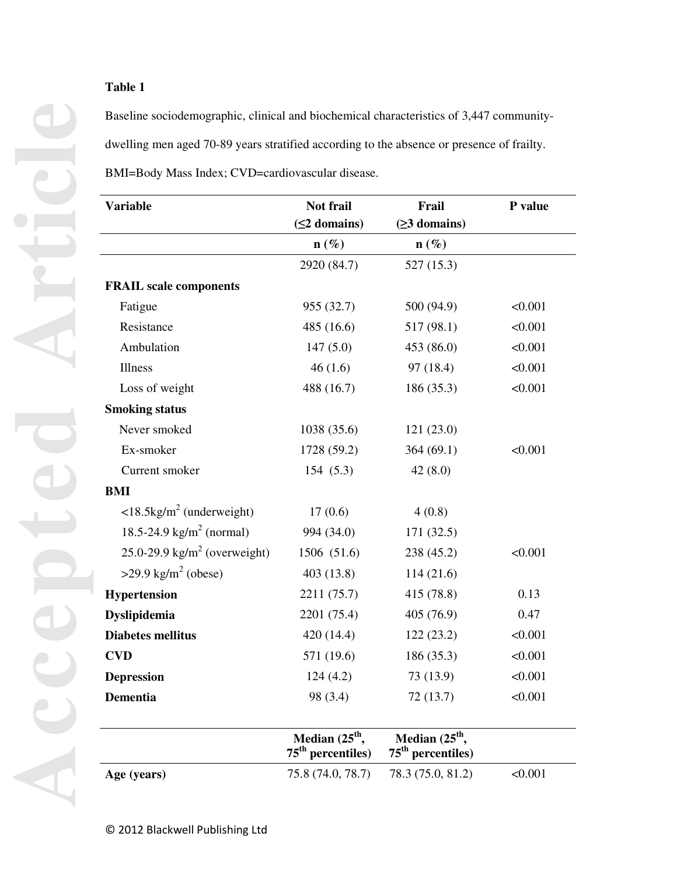Baseline sociodemographic, clinical and biochemical characteristics of 3,447 communitydwelling men aged 70-89 years stratified according to the absence or presence of frailty. BMI=Body Mass Index; CVD=cardiovascular disease.

**Variable Not frail (≤2 domains) Frail (≥3 domains) P value**   $\mathbf{n}(\%)$  **n**  $(\%)$ 2920 (84.7) 527 (15.3) **FRAIL scale components**  Fatigue 955 (32.7) 500 (94.9)  $\leq 0.001$ Resistance 485 (16.6) 517 (98.1) <0.001 Ambulation 147 (5.0) 453 (86.0) <0.001 Illness  $46 (1.6)$   $97 (18.4)$   $< 0.001$ Loss of weight 488 (16.7) 186 (35.3) <0.001 **Smoking status**  Never smoked 1038 (35.6) 121 (23.0) Ex-smoker 1728 (59.2) 364 (69.1) <0.001 Current smoker 154 (5.3) 42 (8.0) **BMI**   $\langle 18.5 \text{kg/m}^2 \text{ (underweight)} \rangle$  17 (0.6) 4 (0.8) 18.5-24.9 kg/m<sup>2</sup> (normal) 994 (34.0) 171 (32.5) 25.0-29.9 kg/m<sup>2</sup> (overweight) 1506 (51.6) 238 (45.2) <0.001  $>29.9$  kg/m<sup>2</sup> (obese) (obese) 403 (13.8) 114 (21.6) **Hypertension** 2211 (75.7) 415 (78.8) 0.13 **Dyslipidemia** 2201 (75.4) 405 (76.9) 0.47 **Diabetes mellitus** 420 (14.4) 122 (23.2)  $\leq 0.001$ **CVD** 571 (19.6) 186 (35.3)  $\leq 0.001$ **Depression** 124 (4.2) 73 (13.9) <0.001 **Dementia** 98 (3.4) 72 (13.7)  $\leq 0.001$ Median (25<sup>th</sup>, **75th percentiles)**  Median (25<sup>th</sup>, **75th percentiles)** 

**Age (years)** 75.8 (74.0, 78.7) 78.3 (75.0, 81.2) <0.001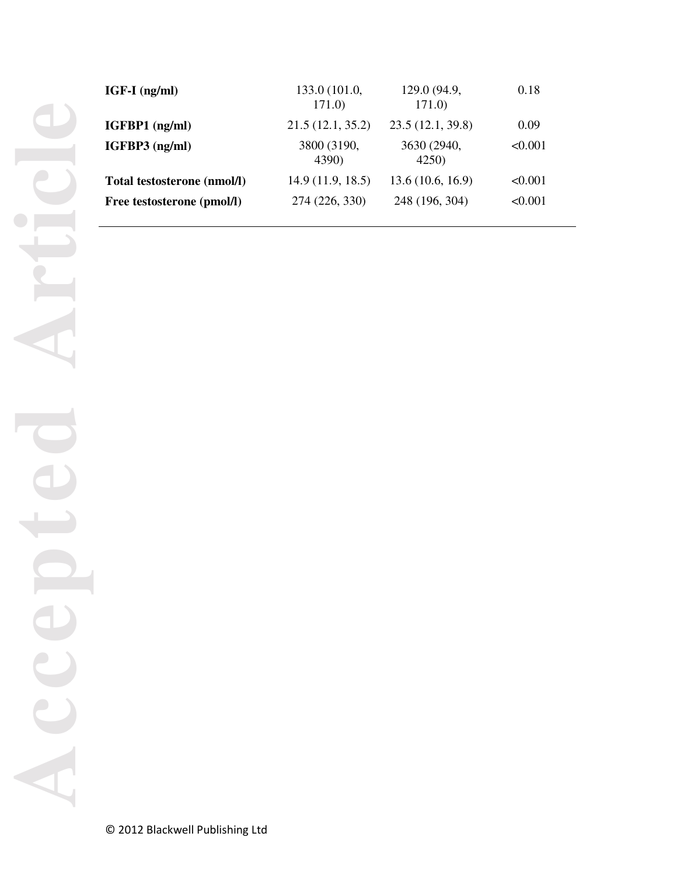| IGF-I (ng/ml)               | 133.0 (101.0,<br>171.0 | 129.0 (94.9,<br>171.0 | 0.18    |
|-----------------------------|------------------------|-----------------------|---------|
| IGFBP1 (ng/ml)              | 21.5(12.1, 35.2)       | 23.5(12.1, 39.8)      | 0.09    |
| IGFBP3 (ng/ml)              | 3800 (3190,<br>4390)   | 3630 (2940,<br>4250)  | < 0.001 |
| Total testosterone (nmol/l) | 14.9(11.9, 18.5)       | 13.6(10.6, 16.9)      | < 0.001 |
| Free testosterone (pmol/l)  | 274 (226, 330)         | 248 (196, 304)        | < 0.001 |
|                             |                        |                       |         |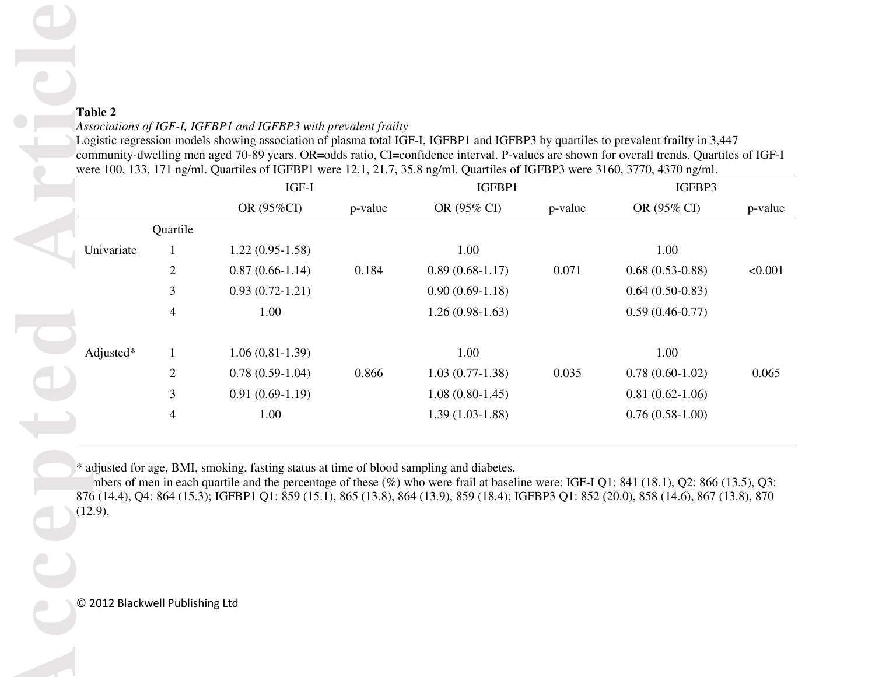# *Associations of IGF-I, IGFBP1 and IGFBP3 with prevalent frailty*

|                                            |                | IGF-I                                                                                    |         | were 100, 133, 171 ng/ml. Quartiles of IGFBP1 were 12.1, 21.7, 35.8 ng/ml. Quartiles of IGFBP3 were 3160, 3770, 4370 ng/ml.<br>IGFBP1 | community-dwelling men aged 70-89 years. OR=odds ratio, CI=confidence interval. P-values are shown for overall trends. Quartiles of IGF-I | IGFBP3                                                                                                                                                                                                                                                                                   |         |
|--------------------------------------------|----------------|------------------------------------------------------------------------------------------|---------|---------------------------------------------------------------------------------------------------------------------------------------|-------------------------------------------------------------------------------------------------------------------------------------------|------------------------------------------------------------------------------------------------------------------------------------------------------------------------------------------------------------------------------------------------------------------------------------------|---------|
|                                            |                | OR (95%CI)                                                                               | p-value | OR (95% CI)                                                                                                                           | p-value                                                                                                                                   | OR (95% CI)                                                                                                                                                                                                                                                                              | p-value |
|                                            | Quartile       |                                                                                          |         |                                                                                                                                       |                                                                                                                                           |                                                                                                                                                                                                                                                                                          |         |
| Univariate                                 |                | $1.22(0.95-1.58)$                                                                        |         | 1.00                                                                                                                                  |                                                                                                                                           | 1.00                                                                                                                                                                                                                                                                                     |         |
|                                            | $\overline{c}$ | $0.87(0.66-1.14)$                                                                        | 0.184   | $0.89(0.68-1.17)$                                                                                                                     | 0.071                                                                                                                                     | $0.68(0.53-0.88)$                                                                                                                                                                                                                                                                        | < 0.001 |
|                                            | 3              | $0.93(0.72-1.21)$                                                                        |         | $0.90(0.69-1.18)$                                                                                                                     |                                                                                                                                           | $0.64(0.50-0.83)$                                                                                                                                                                                                                                                                        |         |
|                                            | 4              | 1.00                                                                                     |         | $1.26(0.98-1.63)$                                                                                                                     |                                                                                                                                           | $0.59(0.46-0.77)$                                                                                                                                                                                                                                                                        |         |
| Adjusted*                                  | 1              | $1.06(0.81-1.39)$                                                                        |         | 1.00                                                                                                                                  |                                                                                                                                           | 1.00                                                                                                                                                                                                                                                                                     |         |
|                                            | 2              | $0.78(0.59-1.04)$                                                                        | 0.866   | $1.03(0.77-1.38)$                                                                                                                     | 0.035                                                                                                                                     | $0.78(0.60-1.02)$                                                                                                                                                                                                                                                                        | 0.065   |
|                                            | 3              | $0.91(0.69-1.19)$                                                                        |         | $1.08(0.80-1.45)$                                                                                                                     |                                                                                                                                           | $0.81(0.62-1.06)$                                                                                                                                                                                                                                                                        |         |
|                                            | 4              | 1.00                                                                                     |         | $1.39(1.03-1.88)$                                                                                                                     |                                                                                                                                           | $0.76(0.58-1.00)$                                                                                                                                                                                                                                                                        |         |
| (12.9).<br>© 2012 Blackwell Publishing Ltd |                | * adjusted for age, BMI, smoking, fasting status at time of blood sampling and diabetes. |         |                                                                                                                                       |                                                                                                                                           | nbers of men in each quartile and the percentage of these $(\%)$ who were frail at baseline were: IGF-I Q1: 841 (18.1), Q2: 866 (13.5), Q3:<br>876 (14.4), Q4: 864 (15.3); IGFBP1 Q1: 859 (15.1), 865 (13.8), 864 (13.9), 859 (18.4); IGFBP3 Q1: 852 (20.0), 858 (14.6), 867 (13.8), 870 |         |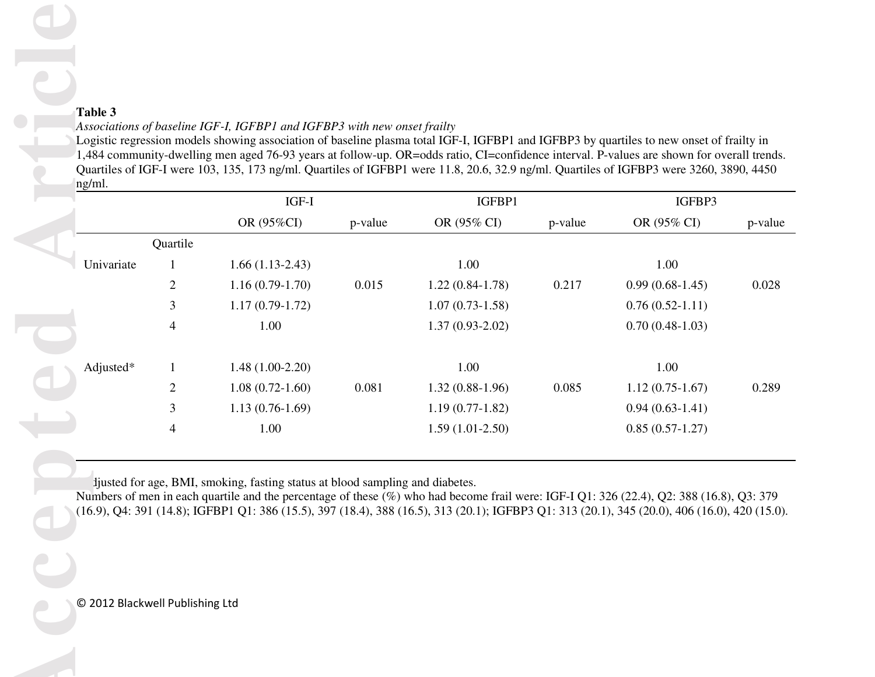# *Associations of baseline IGF-I, IGFBP1 and IGFBP3 with new onset frailty*

|            |                                                                               |                     |         |                       |         |                       | Quartiles of IGF-I were 103, 135, 173 ng/ml. Quartiles of IGFBP1 were 11.8, 20.6, 32.9 ng/ml. Quartiles of IGFBP3 were 3260, 3890, 4450 |
|------------|-------------------------------------------------------------------------------|---------------------|---------|-----------------------|---------|-----------------------|-----------------------------------------------------------------------------------------------------------------------------------------|
|            |                                                                               | IGF-I<br>OR (95%CI) | p-value | IGFBP1<br>OR (95% CI) | p-value | IGFBP3<br>OR (95% CI) | p-value                                                                                                                                 |
|            | Quartile                                                                      |                     |         |                       |         |                       |                                                                                                                                         |
| Univariate |                                                                               | $1.66(1.13-2.43)$   |         | 1.00                  |         | 1.00                  |                                                                                                                                         |
|            | 2                                                                             | $1.16(0.79-1.70)$   | 0.015   | $1.22(0.84-1.78)$     | 0.217   | $0.99(0.68-1.45)$     | 0.028                                                                                                                                   |
|            | 3                                                                             | $1.17(0.79-1.72)$   |         | $1.07(0.73-1.58)$     |         | $0.76(0.52-1.11)$     |                                                                                                                                         |
|            | 4                                                                             | 1.00                |         | $1.37(0.93-2.02)$     |         | $0.70(0.48-1.03)$     |                                                                                                                                         |
|            |                                                                               |                     |         |                       |         |                       |                                                                                                                                         |
| Adjusted*  | $\mathbf{1}$                                                                  | $1.48(1.00-2.20)$   |         | 1.00                  |         | 1.00                  |                                                                                                                                         |
|            | $\overline{c}$                                                                | $1.08(0.72-1.60)$   | 0.081   | $1.32(0.88-1.96)$     | 0.085   | $1.12(0.75-1.67)$     | 0.289                                                                                                                                   |
|            | 3                                                                             | $1.13(0.76-1.69)$   |         | $1.19(0.77-1.82)$     |         | $0.94(0.63-1.41)$     |                                                                                                                                         |
|            | 4                                                                             | 1.00                |         | $1.59(1.01-2.50)$     |         | $0.85(0.57-1.27)$     |                                                                                                                                         |
|            | ljusted for age, BMI, smoking, fasting status at blood sampling and diabetes. |                     |         |                       |         |                       |                                                                                                                                         |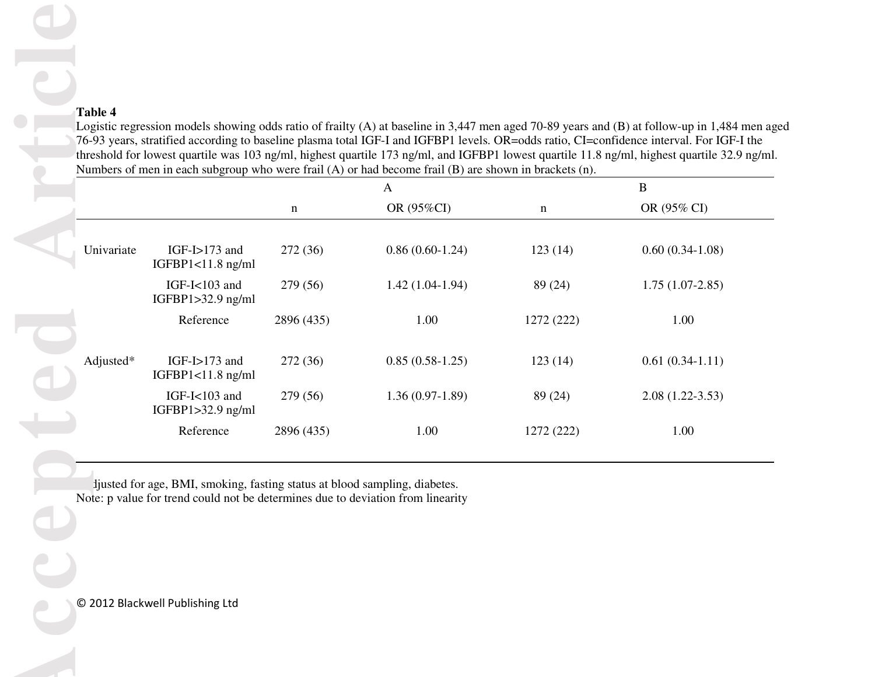|            |                                      |             | A                 |             | B                 |
|------------|--------------------------------------|-------------|-------------------|-------------|-------------------|
|            |                                      | $\mathbf n$ | OR (95%CI)        | $\mathbf n$ | OR (95% CI)       |
| Univariate | $IGF-I>173$ and<br>IGFBP1<11.8 ng/ml | 272 (36)    | $0.86(0.60-1.24)$ | 123(14)     | $0.60(0.34-1.08)$ |
|            | IGF-I<103 and<br>IGFBP1>32.9 ng/ml   | 279 (56)    | $1.42(1.04-1.94)$ | 89 (24)     | $1.75(1.07-2.85)$ |
|            | Reference                            | 2896 (435)  | 1.00              | 1272 (222)  | 1.00              |
| Adjusted*  | $IGF-I>173$ and<br>IGFBP1<11.8 ng/ml | 272 (36)    | $0.85(0.58-1.25)$ | 123(14)     | $0.61(0.34-1.11)$ |
|            | IGF-I<103 and<br>IGFBP1>32.9 ng/ml   | 279 (56)    | $1.36(0.97-1.89)$ | 89 (24)     | $2.08(1.22-3.53)$ |
|            |                                      |             |                   |             |                   |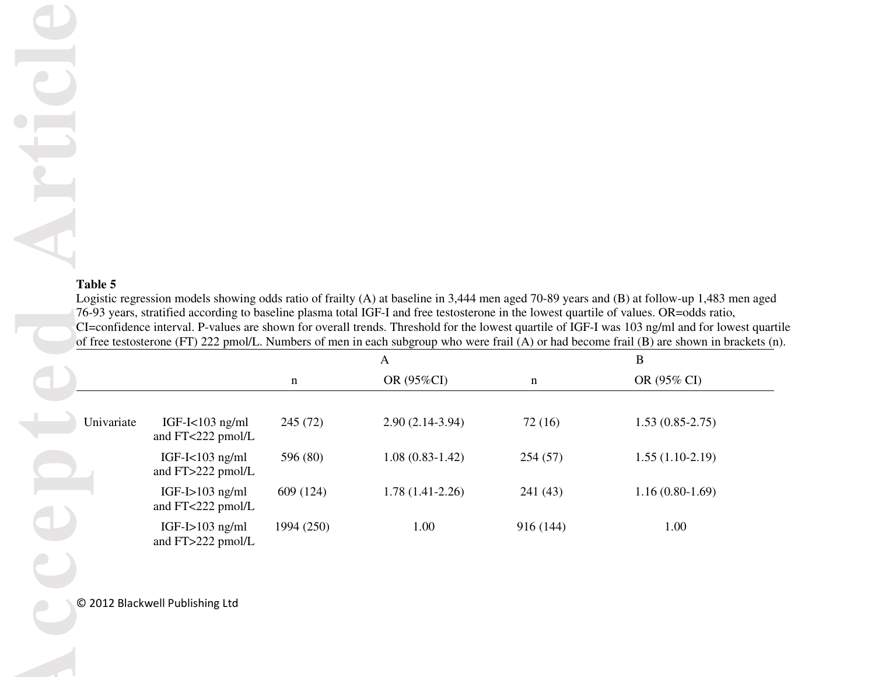ATT

| Table 5    |                                          |             |                   |           | Logistic regression models showing odds ratio of frailty (A) at baseline in 3,444 men aged 70-89 years and (B) at follow-up 1,483 men aged<br>76-93 years, stratified according to baseline plasma total IGF-I and free testosterone in the lowest quartile of values. OR=odds ratio,<br>CI=confidence interval. P-values are shown for overall trends. Threshold for the lowest quartile of IGF-I was 103 ng/ml and for lowest quart<br>of free testosterone (FT) 222 pmol/L. Numbers of men in each subgroup who were frail (A) or had become frail (B) are shown in brackets (r |
|------------|------------------------------------------|-------------|-------------------|-----------|------------------------------------------------------------------------------------------------------------------------------------------------------------------------------------------------------------------------------------------------------------------------------------------------------------------------------------------------------------------------------------------------------------------------------------------------------------------------------------------------------------------------------------------------------------------------------------|
|            |                                          |             | $\mathbf{A}$      |           | B                                                                                                                                                                                                                                                                                                                                                                                                                                                                                                                                                                                  |
|            |                                          | $\mathbf n$ | OR (95%CI)        | n         | OR (95% CI)                                                                                                                                                                                                                                                                                                                                                                                                                                                                                                                                                                        |
| Univariate | IGF-I $<$ 103 ng/ml<br>and FT<222 pmol/L | 245 (72)    | $2.90(2.14-3.94)$ | 72(16)    | $1.53(0.85-2.75)$                                                                                                                                                                                                                                                                                                                                                                                                                                                                                                                                                                  |
|            | IGF-I $<$ 103 ng/ml<br>and FT>222 pmol/L | 596 (80)    | $1.08(0.83-1.42)$ | 254(57)   | $1.55(1.10-2.19)$                                                                                                                                                                                                                                                                                                                                                                                                                                                                                                                                                                  |
|            | $IGF-I>103$ ng/ml<br>and FT<222 pmol/L   | 609 (124)   | $1.78(1.41-2.26)$ | 241 (43)  | $1.16(0.80-1.69)$                                                                                                                                                                                                                                                                                                                                                                                                                                                                                                                                                                  |
|            | $IGF-I>103$ ng/ml<br>and FT>222 pmol/L   | 1994 (250)  | 1.00              | 916 (144) | 1.00                                                                                                                                                                                                                                                                                                                                                                                                                                                                                                                                                                               |
|            |                                          |             |                   |           |                                                                                                                                                                                                                                                                                                                                                                                                                                                                                                                                                                                    |
|            | © 2012 Blackwell Publishing Ltd          |             |                   |           |                                                                                                                                                                                                                                                                                                                                                                                                                                                                                                                                                                                    |
|            |                                          |             |                   |           |                                                                                                                                                                                                                                                                                                                                                                                                                                                                                                                                                                                    |
|            |                                          |             |                   |           |                                                                                                                                                                                                                                                                                                                                                                                                                                                                                                                                                                                    |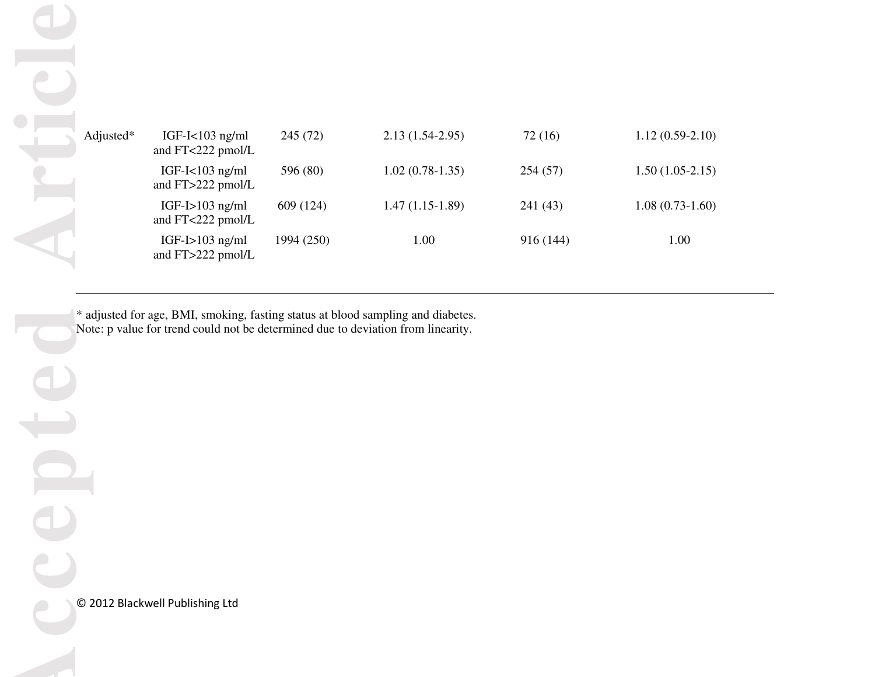| Adjusted* | IGF-I<103 ng/ml<br>and FT<222 pmol/L                                             | 245 (72)   | $2.13(1.54-2.95)$                                                                | 72(16)    | $1.12(0.59-2.10)$ |  |
|-----------|----------------------------------------------------------------------------------|------------|----------------------------------------------------------------------------------|-----------|-------------------|--|
|           | IGF-I $<$ 103 ng/ml<br>and FT>222 pmol/L                                         | 596 (80)   | $1.02(0.78-1.35)$                                                                | 254(57)   | $1.50(1.05-2.15)$ |  |
|           | IGF-I $>103$ ng/ml<br>and FT<222 pmol/L                                          | 609 (124)  | $1.47(1.15-1.89)$                                                                | 241 (43)  | $1.08(0.73-1.60)$ |  |
|           | IGF-I $>103$ ng/ml<br>and FT>222 pmol/L                                          | 1994 (250) | 1.00                                                                             | 916 (144) | 1.00              |  |
|           | Note: p value for trend could not be determined due to deviation from linearity. |            | * adjusted for age, BMI, smoking, fasting status at blood sampling and diabetes. |           |                   |  |
|           |                                                                                  |            |                                                                                  |           |                   |  |
|           |                                                                                  |            |                                                                                  |           |                   |  |
|           |                                                                                  |            |                                                                                  |           |                   |  |
|           |                                                                                  |            |                                                                                  |           |                   |  |
|           |                                                                                  |            |                                                                                  |           |                   |  |
|           | © 2012 Blackwell Publishing Ltd                                                  |            |                                                                                  |           |                   |  |
|           |                                                                                  |            |                                                                                  |           |                   |  |
|           |                                                                                  |            |                                                                                  |           |                   |  |